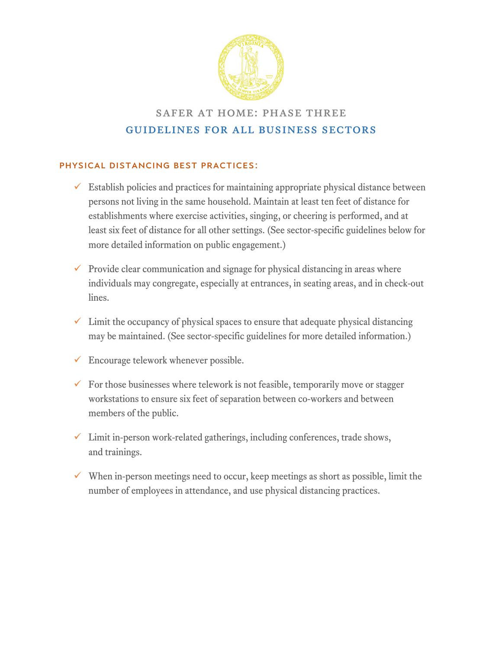

## safer at home: phase three guidelines for all business sectors

### Physical Distancing Best Practices:

- $\checkmark$  Establish policies and practices for maintaining appropriate physical distance between persons not living in the same household. Maintain at least ten feet of distance for establishments where exercise activities, singing, or cheering is performed, and at least six feet of distance for all other settings. (See sector-specific guidelines below for more detailed information on public engagement.)
- $\checkmark$  Provide clear communication and signage for physical distancing in areas where individuals may congregate, especially at entrances, in seating areas, and in check-out lines.
- $\checkmark$  Limit the occupancy of physical spaces to ensure that adequate physical distancing may be maintained. (See sector-specific guidelines for more detailed information.)
- $\checkmark$  Encourage telework whenever possible.
- $\checkmark$  For those businesses where telework is not feasible, temporarily move or stagger workstations to ensure six feet of separation between co-workers and between members of the public.
- $\checkmark$  Limit in-person work-related gatherings, including conferences, trade shows, and trainings.
- $\checkmark$  When in-person meetings need to occur, keep meetings as short as possible, limit the number of employees in attendance, and use physical distancing practices.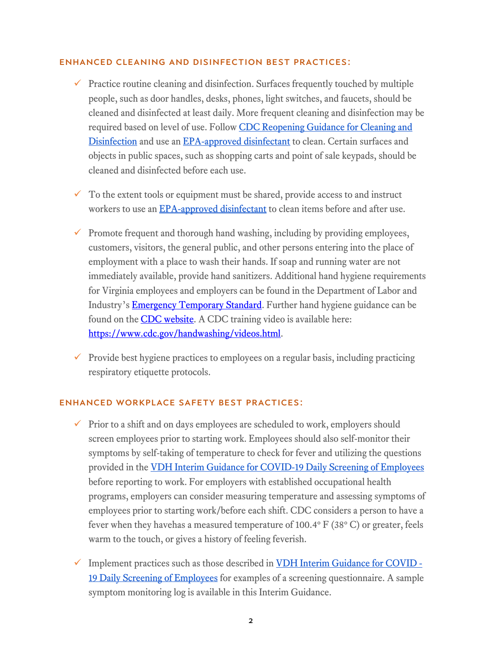#### Enhanced Cleaning and Disinfection Best Practices:

- $\checkmark$  Practice routine cleaning and disinfection. Surfaces frequently touched by multiple people, such as door handles, desks, phones, light switches, and faucets, should be cleaned and disinfected at least daily. More frequent cleaning and disinfection may be required based on level of use. Follow CDC Reopening Guidance for Cleaning and [Disinfection](https://www.cdc.gov/coronavirus/2019-ncov/community/reopen-guidance.html) and use an [EPA-approved disinfectant](https://www.epa.gov/pesticide-registration/list-n-disinfectants-use-against-sars-cov-2) to clean. Certain surfaces and objects in public spaces, such as shopping carts and point of sale keypads, should be cleaned and disinfected before each use.
- $\checkmark$  To the extent tools or equipment must be shared, provide access to and instruct workers to use an [EPA-approved disinfectant](https://www.epa.gov/pesticide-registration/list-n-disinfectants-use-against-sars-cov-2) to clean items before and after use.
- $\checkmark$  Promote frequent and thorough hand washing, including by providing employees, customers, visitors, the general public, and other persons entering into the place of employment with a place to wash their hands. If soap and running water are not immediately available, provide hand sanitizers. Additional hand hygiene requirements for Virginia employees and employers can be found in the Department of Labor and Industry's **Emergency Temporary Standard**. Further hand hygiene guidance can be found on the **CDC website**. A CDC training video is available here: [https://www.cdc.gov/handwashing/videos.html.](https://www.cdc.gov/handwashing/videos.html)
- $\checkmark$  Provide best hygiene practices to employees on a regular basis, including practicing respiratory etiquette protocols.

#### Enhanced Workplace Safety Best Practices:

- $\checkmark$  Prior to a shift and on days employees are scheduled to work, employers should screen employees prior to starting work. Employees should also self-monitor their symptoms by self-taking of temperature to check for fever and utilizing the questions provided in the [VDH Interim Guidance for COVID-19 Daily Screening of Employees](https://www.vdh.virginia.gov/coronavirus/vdh-interim-guidance-for-daily-covid-19-screening-of-employees-and-visitors/) before reporting to work. For employers with established occupational health programs, employers can consider measuring temperature and assessing symptoms of employees prior to starting work/before each shift. CDC considers a person to have a fever when they havehas a measured temperature of 100.4 $\degree$  F (38 $\degree$  C) or greater, feels warm to the touch, or gives a history of feeling feverish.
- $\checkmark$  Implement practices such as those described i[n VDH Interim Guidance for COVID -](https://www.vdh.virginia.gov/coronavirus/vdh-interim-guidance-for-daily-covid-19-screening-of-employees-and-visitors/) [19 Daily Screening of Employees](https://www.vdh.virginia.gov/coronavirus/vdh-interim-guidance-for-daily-covid-19-screening-of-employees-and-visitors/) for examples of a screening questionnaire. A sample symptom monitoring log is available in this Interim Guidance.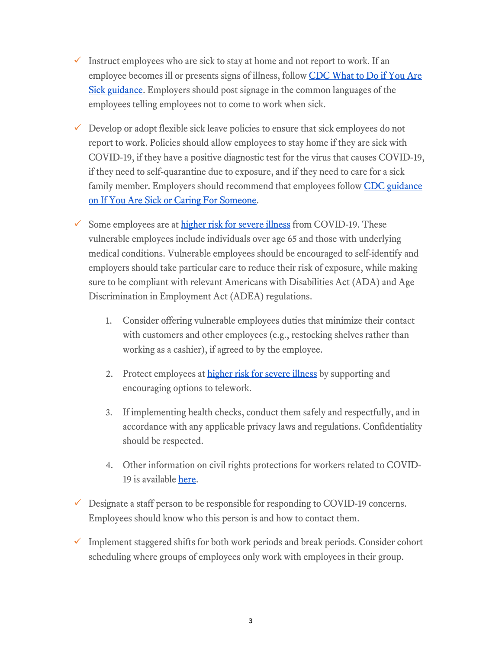- Instruct employees who are sick to stay at home and not report to work. If an employee becomes ill or presents signs of illness, follo[w](https://www.cdc.gov/coronavirus/2019-ncov/if-you-are-sick/steps-when-sick.html) CDC What to Do if You Are [Sick guidance.](https://www.cdc.gov/coronavirus/2019-ncov/if-you-are-sick/steps-when-sick.html) Employers should post signage in the common languages of the employees telling employees not to come to work when sick.
- $\checkmark$  Develop or adopt flexible sick leave policies to ensure that sick employees do not report to work. Policies should allow employees to stay home if they are sick with COVID-19, if they have a positive diagnostic test for the virus that causes COVID-19, if they need to self-quarantine due to exposure, and if they need to care for a sick family member. Employers should recommend that employees follo[w](https://www.cdc.gov/coronavirus/2019-ncov/if-you-are-sick/index.html) CDC guidance [on If You Are Sick or Caring For Someone.](https://www.cdc.gov/coronavirus/2019-ncov/if-you-are-sick/index.html)
- Some employees are at [higher risk for severe illness](https://www.cdc.gov/coronavirus/2019-ncov/need-extra-precautions/people-at-higher-risk.html) from COVID-19. These vulnerable employees include individuals over age 65 and those with underlying medical conditions. Vulnerable employees should be encouraged to self-identify and employers should take particular care to reduce their risk of exposure, while making sure to be compliant with relevant Americans with Disabilities Act (ADA) and Age Discrimination in Employment Act (ADEA) regulations.
	- 1. Consider offering vulnerable employees duties that minimize their contact with customers and other employees (e.g., restocking shelves rather than working as a cashier), if agreed to by the employee.
	- 2. Protect employees at [higher risk for severe illness](https://www.cdc.gov/coronavirus/2019-ncov/need-extra-precautions/people-at-higher-risk.html) by supporting and encouraging options to telework.
	- 3. If implementing health checks, conduct them safely and respectfully, and in accordance with any applicable privacy laws and regulations. Confidentiality should be respected.
	- 4. Other information on civil rights protections for workers related to COVID-19 is availabl[e here.](https://www.hhs.gov/about/news/2020/03/28/ocr-issues-bulletin-on-civil-rights-laws-and-hipaa-flexibilities-that-apply-during-the-covid-19-emergency.html)
- $\checkmark$  Designate a staff person to be responsible for responding to COVID-19 concerns. Employees should know who this person is and how to contact them.
- $\checkmark$  Implement staggered shifts for both work periods and break periods. Consider cohort scheduling where groups of employees only work with employees in their group.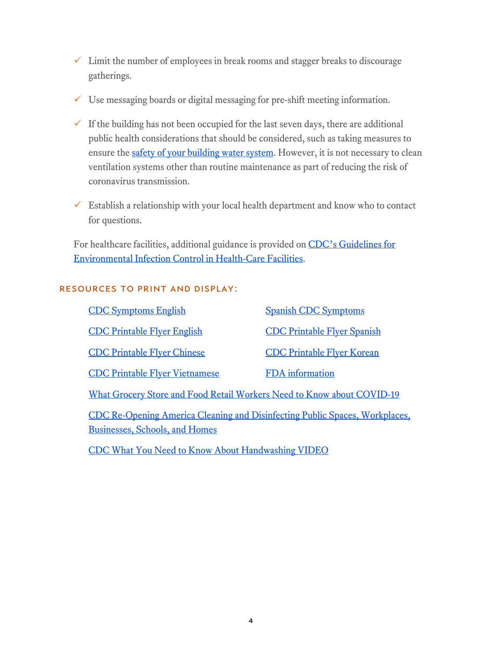- $\checkmark$  Limit the number of employees in break rooms and stagger breaks to discourage gatherings.
- $\checkmark$  Use messaging boards or digital messaging for pre-shift meeting information.
- $\checkmark$  If the building has not been occupied for the last seven days, there are additional public health considerations that should be considered, such as taking measures to ensure the [safety of your building water system.](https://www.cdc.gov/coronavirus/2019-ncov/php/building-water-system.html) However, it is not necessary to clean ventilation systems other than routine maintenance as part of reducing the risk of coronavirus transmission.
- $\checkmark$  Establish a relationship with your local health department and know who to contact for questions.

For healthcare facilities, additional guidance is provided on CDC's Guidelines for [Environmental Infection Control in Health-Care Facilities.](https://www.cdc.gov/infectioncontrol/pdf/guidelines/environmental-guidelines-P.pdf)

### Resources to print and display:

| <b>CDC Symptoms English</b>                                                                                          | <b>Spanish CDC Symptoms</b>        |  |
|----------------------------------------------------------------------------------------------------------------------|------------------------------------|--|
| <b>CDC Printable Flyer English</b>                                                                                   | <b>CDC Printable Flyer Spanish</b> |  |
| <b>CDC Printable Flyer Chinese</b>                                                                                   | <b>CDC Printable Flyer Korean</b>  |  |
| <b>CDC Printable Flyer Vietnamese</b>                                                                                | <b>FDA</b> information             |  |
| What Grocery Store and Food Retail Workers Need to Know about COVID-19                                               |                                    |  |
| CDC Re-Opening America Cleaning and Disinfecting Public Spaces, Workplaces,<br><b>Businesses, Schools, and Homes</b> |                                    |  |

[CDC What You Need to Know About Handwashing VIDEO](https://www.youtube.com/watch?v=d914EnpU4Fo)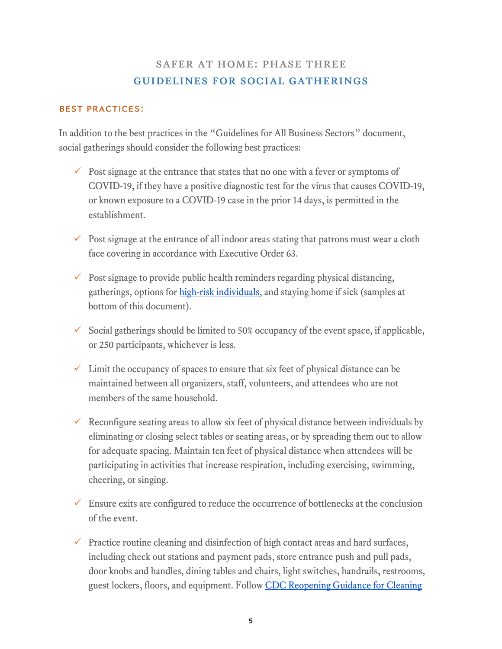## safer at home: phase three guidelines for social gatherings

### Best practices:

In addition to the best practices in the "Guidelines for All Business Sectors" document, social gatherings should consider the following best practices:

- $\checkmark$  Post signage at the entrance that states that no one with a fever or symptoms of COVID-19, if they have a positive diagnostic test for the virus that causes COVID-19, or known exposure to a COVID-19 case in the prior 14 days, is permitted in the establishment.
- $\checkmark$  Post signage at the entrance of all indoor areas stating that patrons must wear a cloth face covering in accordance with Executive Order 63.
- $\checkmark$  Post signage to provide public health reminders regarding physical distancing, gatherings, options for [high-risk individuals,](https://www.cdc.gov/coronavirus/2019-ncov/need-extra-precautions/people-at-higher-risk.html) and staying home if sick (samples at bottom of this document).
- $\checkmark$  Social gatherings should be limited to 50% occupancy of the event space, if applicable, or 250 participants, whichever is less.
- $\checkmark$  Limit the occupancy of spaces to ensure that six feet of physical distance can be maintained between all organizers, staff, volunteers, and attendees who are not members of the same household.
- $\checkmark$  Reconfigure seating areas to allow six feet of physical distance between individuals by eliminating or closing select tables or seating areas, or by spreading them out to allow for adequate spacing. Maintain ten feet of physical distance when attendees will be participating in activities that increase respiration, including exercising, swimming, cheering, or singing.
- $\checkmark$  Ensure exits are configured to reduce the occurrence of bottlenecks at the conclusion of the event.
- $\checkmark$  Practice routine cleaning and disinfection of high contact areas and hard surfaces, including check out stations and payment pads, store entrance push and pull pads, door knobs and handles, dining tables and chairs, light switches, handrails, restrooms, guest lockers, floors, and equipment. Follow [CDC Reopening Guidance](https://www.cdc.gov/coronavirus/2019-ncov/community/reopen-guidance.html) for Cleaning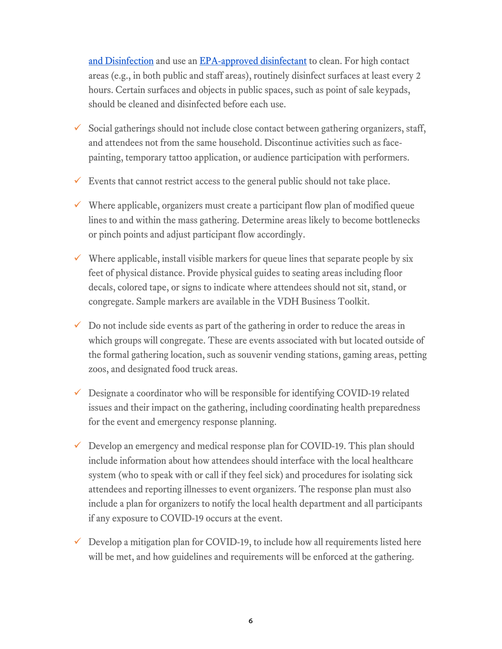[and Disinfection](https://www.cdc.gov/coronavirus/2019-ncov/community/reopen-guidance.html) and use an [EPA-approved disinfectant](https://www.epa.gov/pesticide-registration/list-n-disinfectants-use-against-sars-cov-2) to clean. For high contact areas (e.g., in both public and staff areas), routinely disinfect surfaces at least every 2 hours. Certain surfaces and objects in public spaces, such as point of sale keypads, should be cleaned and disinfected before each use.

- $\checkmark$  Social gatherings should not include close contact between gathering organizers, staff, and attendees not from the same household. Discontinue activities such as facepainting, temporary tattoo application, or audience participation with performers.
- Events that cannot restrict access to the general public should not take place.
- $\checkmark$  Where applicable, organizers must create a participant flow plan of modified queue lines to and within the mass gathering. Determine areas likely to become bottlenecks or pinch points and adjust participant flow accordingly.
- $\checkmark$  Where applicable, install visible markers for queue lines that separate people by six feet of physical distance. Provide physical guides to seating areas including floor decals, colored tape, or signs to indicate where attendees should not sit, stand, or congregate. Sample markers are available in the VDH Business Toolkit.
- $\checkmark$  Do not include side events as part of the gathering in order to reduce the areas in which groups will congregate. These are events associated with but located outside of the formal gathering location, such as souvenir vending stations, gaming areas, petting zoos, and designated food truck areas.
- $\checkmark$  Designate a coordinator who will be responsible for identifying COVID-19 related issues and their impact on the gathering, including coordinating health preparedness for the event and emergency response planning.
- $\checkmark$  Develop an emergency and medical response plan for COVID-19. This plan should include information about how attendees should interface with the local healthcare system (who to speak with or call if they feel sick) and procedures for isolating sick attendees and reporting illnesses to event organizers. The response plan must also include a plan for organizers to notify the local health department and all participants if any exposure to COVID-19 occurs at the event.
- $\checkmark$  Develop a mitigation plan for COVID-19, to include how all requirements listed here will be met, and how guidelines and requirements will be enforced at the gathering.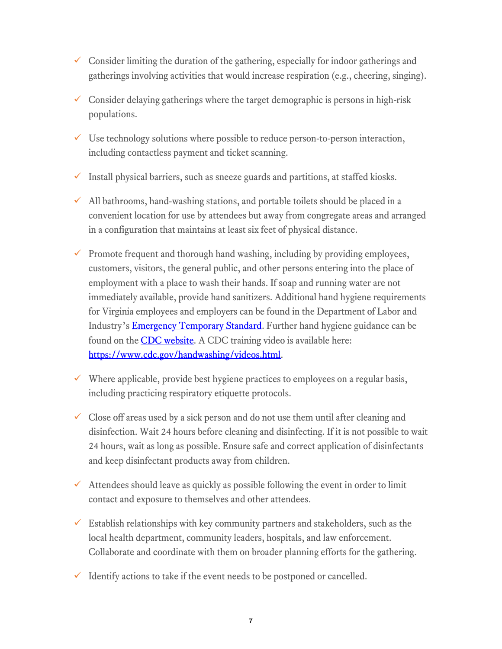- $\checkmark$  Consider limiting the duration of the gathering, especially for indoor gatherings and gatherings involving activities that would increase respiration (e.g., cheering, singing).
- $\checkmark$  Consider delaying gatherings where the target demographic is persons in high-risk populations.
- $\checkmark$  Use technology solutions where possible to reduce person-to-person interaction, including contactless payment and ticket scanning.
- $\checkmark$  Install physical barriers, such as sneeze guards and partitions, at staffed kiosks.
- $\checkmark$  All bathrooms, hand-washing stations, and portable toilets should be placed in a convenient location for use by attendees but away from congregate areas and arranged in a configuration that maintains at least six feet of physical distance.
- $\checkmark$  Promote frequent and thorough hand washing, including by providing employees, customers, visitors, the general public, and other persons entering into the place of employment with a place to wash their hands. If soap and running water are not immediately available, provide hand sanitizers. Additional hand hygiene requirements for Virginia employees and employers can be found in the Department of Labor and Industry's **Emergency Temporary Standard**. Further hand hygiene guidance can be found on the **CDC** website. A CDC training video is available here: [https://www.cdc.gov/handwashing/videos.html.](https://www.cdc.gov/handwashing/videos.html)
- $\checkmark$  Where applicable, provide best hygiene practices to employees on a regular basis, including practicing respiratory etiquette protocols.
- $\checkmark$  Close off areas used by a sick person and do not use them until after cleaning and disinfection. Wait 24 hours before cleaning and disinfecting. If it is not possible to wait 24 hours, wait as long as possible. Ensure safe and correct application of disinfectants and keep disinfectant products away from children.
- $\checkmark$  Attendees should leave as quickly as possible following the event in order to limit contact and exposure to themselves and other attendees.
- $\checkmark$  Establish relationships with key community partners and stakeholders, such as the local health department, community leaders, hospitals, and law enforcement. Collaborate and coordinate with them on broader planning efforts for the gathering.
- $\checkmark$  Identify actions to take if the event needs to be postponed or cancelled.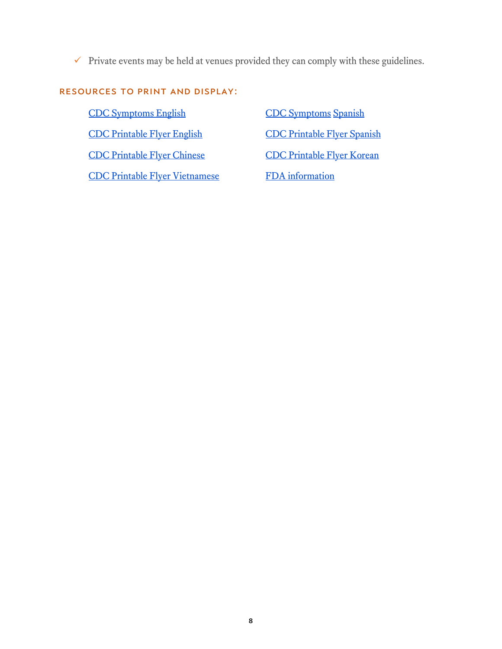$\checkmark$  Private events may be held at venues provided they can comply with these guidelines.

### Resources to print and display:

[CDC Symptoms English](https://www.cdc.gov/coronavirus/2019-ncov/symptoms-testing/symptoms.html) [CDC Symptoms](https://espanol.cdc.gov/coronavirus/2019-ncov/symptoms-testing/symptoms.html) Spanish [CDC Printable Flyer English](https://www.cdc.gov/coronavirus/2019-ncov/downloads/stop-the-spread-of-germs.pdf) [CDC Printable Flyer Spanish](https://www.cdc.gov/coronavirus/2019-ncov/downloads/stop-the-spread-of-germs-sp.pdf) [CDC Printable Flyer Chinese](https://www.cdc.gov/coronavirus/2019-ncov/downloads/stop-the-spread-of-germs-chinese.pdf) [CDC Printable Flyer Korean](https://www.cdc.gov/coronavirus/2019-ncov/downloads/stop-the-spread-of-germs-korean.pdf) [CDC Printable Flyer Vietnamese](https://www.cdc.gov/coronavirus/2019-ncov/downloads/stop-the-spread-of-germs-vietnamese.pdf) FDA information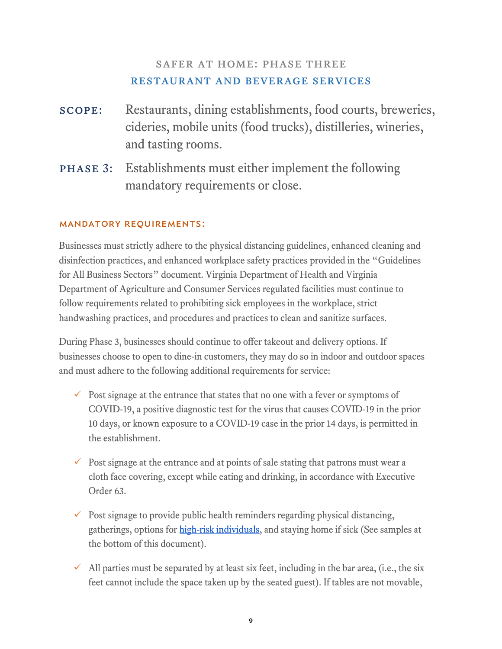## SAFER AT HOME: PHASE THREE restaurant and beverage services

- scope: Restaurants, dining establishments, food courts, breweries, cideries, mobile units (food trucks), distilleries, wineries, and tasting rooms.
- phase 3: Establishments must either implement the following mandatory requirements or close.

### Mandatory Requirements:

Businesses must strictly adhere to the physical distancing guidelines, enhanced cleaning and disinfection practices, and enhanced workplace safety practices provided in the "Guidelines for All Business Sectors" document. Virginia Department of Health and Virginia Department of Agriculture and Consumer Services regulated facilities must continue to follow requirements related to prohibiting sick employees in the workplace, strict handwashing practices, and procedures and practices to clean and sanitize surfaces.

During Phase 3, businesses should continue to offer takeout and delivery options. If businesses choose to open to dine-in customers, they may do so in indoor and outdoor spaces and must adhere to the following additional requirements for service:

- $\checkmark$  Post signage at the entrance that states that no one with a fever or symptoms of COVID-19, a positive diagnostic test for the virus that causes COVID-19 in the prior 10 days, or known exposure to a COVID-19 case in the prior 14 days, is permitted in the establishment.
- $\checkmark$  Post signage at the entrance and at points of sale stating that patrons must wear a cloth face covering, except while eating and drinking, in accordance with Executive Order 63.
- $\checkmark$  Post signage to provide public health reminders regarding physical distancing, gatherings, options for [high-risk individuals,](https://www.cdc.gov/coronavirus/2019-ncov/need-extra-precautions/people-at-higher-risk.html) and staying home if sick (See samples at the bottom of this document).
- $\checkmark$  All parties must be separated by at least six feet, including in the bar area, (i.e., the six feet cannot include the space taken up by the seated guest). If tables are not movable,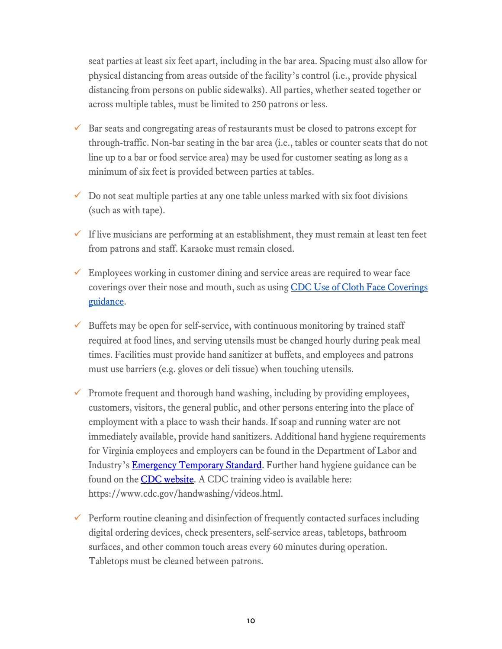seat parties at least six feet apart, including in the bar area. Spacing must also allow for physical distancing from areas outside of the facility's control (i.e., provide physical distancing from persons on public sidewalks). All parties, whether seated together or across multiple tables, must be limited to 250 patrons or less.

- $\checkmark$  Bar seats and congregating areas of restaurants must be closed to patrons except for through-traffic. Non-bar seating in the bar area (i.e., tables or counter seats that do not line up to a bar or food service area) may be used for customer seating as long as a minimum of six feet is provided between parties at tables.
- $\checkmark$  Do not seat multiple parties at any one table unless marked with six foot divisions (such as with tape).
- $\checkmark$  If live musicians are performing at an establishment, they must remain at least ten feet from patrons and staff. Karaoke must remain closed.
- $\checkmark$  Employees working in customer dining and service areas are required to wear face coverings over their nose and mouth, such as using CDC Use of Cloth Face Coverings [guidance.](https://www.cdc.gov/coronavirus/2019-ncov/prevent-getting-sick/diy-cloth-face-coverings.html)
- $\checkmark$  Buffets may be open for self-service, with continuous monitoring by trained staff required at food lines, and serving utensils must be changed hourly during peak meal times. Facilities must provide hand sanitizer at buffets, and employees and patrons must use barriers (e.g. gloves or deli tissue) when touching utensils.
- $\checkmark$  Promote frequent and thorough hand washing, including by providing employees, customers, visitors, the general public, and other persons entering into the place of employment with a place to wash their hands. If soap and running water are not immediately available, provide hand sanitizers. Additional hand hygiene requirements for Virginia employees and employers can be found in the Department of Labor and Industry's **Emergency Temporary Standard**. Further hand hygiene guidance can be found on the **CDC** website. A CDC training video is available here: https://www.cdc.gov/handwashing/videos.html.
- $\checkmark$  Perform routine cleaning and disinfection of frequently contacted surfaces including digital ordering devices, check presenters, self-service areas, tabletops, bathroom surfaces, and other common touch areas every 60 minutes during operation. Tabletops must be cleaned between patrons.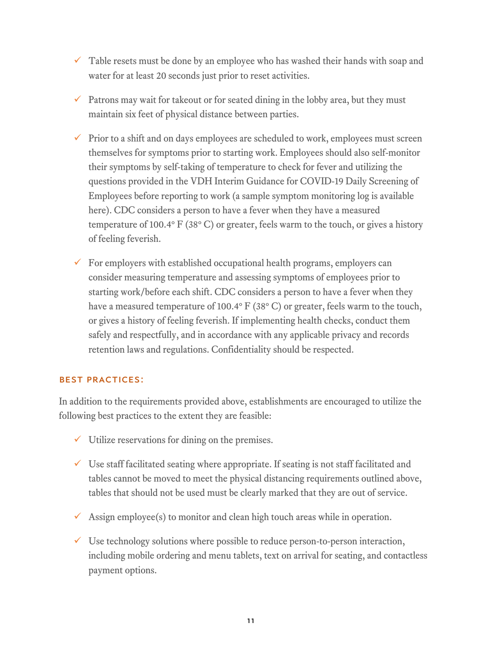- $\checkmark$  Table resets must be done by an employee who has washed their hands with soap and water for at least 20 seconds just prior to reset activities.
- Patrons may wait for takeout or for seated dining in the lobby area, but they must maintain six feet of physical distance between parties.
- $\checkmark$  Prior to a shift and on days employees are scheduled to work, employees must screen themselves for symptoms prior to starting work. Employees should also self-monitor their symptoms by self-taking of temperature to check for fever and utilizing the questions provided in the VDH Interim Guidance for COVID-19 Daily Screening of Employees before reporting to work (a sample symptom monitoring log is available here). CDC considers a person to have a fever when they have a measured temperature of 100.4 $\textdegree$  F (38 $\textdegree$  C) or greater, feels warm to the touch, or gives a history of feeling feverish.
- $\checkmark$  For employers with established occupational health programs, employers can consider measuring temperature and assessing symptoms of employees prior to starting work/before each shift. CDC considers a person to have a fever when they have a measured temperature of 100.4° F (38° C) or greater, feels warm to the touch, or gives a history of feeling feverish. If implementing health checks, conduct them safely and respectfully, and in accordance with any applicable privacy and records retention laws and regulations. Confidentiality should be respected.

### Best Practices:

In addition to the requirements provided above, establishments are encouraged to utilize the following best practices to the extent they are feasible:

- $\checkmark$  Utilize reservations for dining on the premises.
- $\checkmark$  Use staff facilitated seating where appropriate. If seating is not staff facilitated and tables cannot be moved to meet the physical distancing requirements outlined above, tables that should not be used must be clearly marked that they are out of service.
- $\checkmark$  Assign employee(s) to monitor and clean high touch areas while in operation.
- $\checkmark$  Use technology solutions where possible to reduce person-to-person interaction, including mobile ordering and menu tablets, text on arrival for seating, and contactless payment options.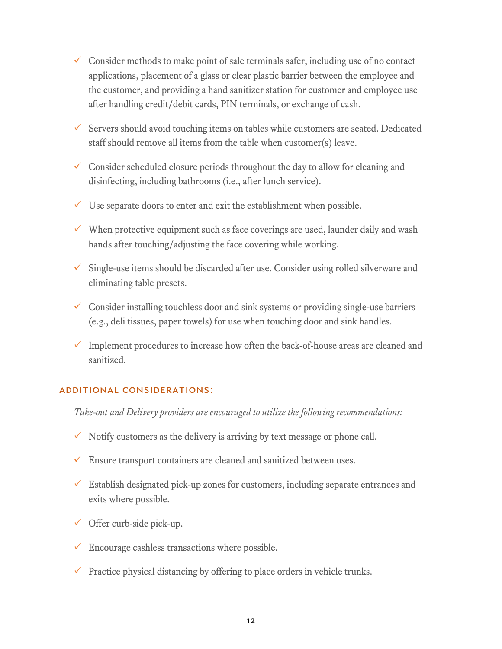- $\checkmark$  Consider methods to make point of sale terminals safer, including use of no contact applications, placement of a glass or clear plastic barrier between the employee and the customer, and providing a hand sanitizer station for customer and employee use after handling credit/debit cards, PIN terminals, or exchange of cash.
- $\checkmark$  Servers should avoid touching items on tables while customers are seated. Dedicated staff should remove all items from the table when customer(s) leave.
- $\checkmark$  Consider scheduled closure periods throughout the day to allow for cleaning and disinfecting, including bathrooms (i.e., after lunch service).
- $\checkmark$  Use separate doors to enter and exit the establishment when possible.
- $\checkmark$  When protective equipment such as face coverings are used, launder daily and wash hands after touching/adjusting the face covering while working.
- $\checkmark$  Single-use items should be discarded after use. Consider using rolled silverware and eliminating table presets.
- $\checkmark$  Consider installing touchless door and sink systems or providing single-use barriers (e.g., deli tissues, paper towels) for use when touching door and sink handles.
- $\checkmark$  Implement procedures to increase how often the back-of-house areas are cleaned and sanitized.

#### Additional Considerations:

*Take-out and Delivery providers are encouraged to utilize the following recommendations:*

- $\checkmark$  Notify customers as the delivery is arriving by text message or phone call.
- $\checkmark$  Ensure transport containers are cleaned and sanitized between uses.
- $\checkmark$  Establish designated pick-up zones for customers, including separate entrances and exits where possible.
- $\checkmark$  Offer curb-side pick-up.
- $\checkmark$  Encourage cashless transactions where possible.
- $\checkmark$  Practice physical distancing by offering to place orders in vehicle trunks.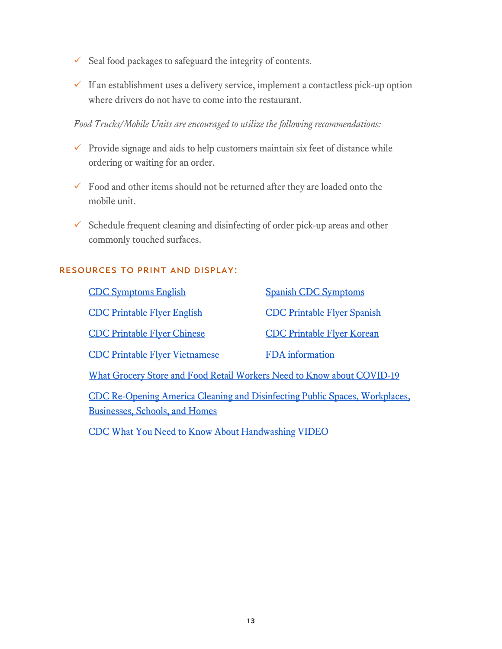- $\checkmark$  Seal food packages to safeguard the integrity of contents.
- $\checkmark$  If an establishment uses a delivery service, implement a contactless pick-up option where drivers do not have to come into the restaurant.

*Food Trucks/Mobile Units are encouraged to utilize the following recommendations:*

- $\checkmark$  Provide signage and aids to help customers maintain six feet of distance while ordering or waiting for an order.
- $\checkmark$  Food and other items should not be returned after they are loaded onto the mobile unit.
- $\checkmark$  Schedule frequent cleaning and disinfecting of order pick-up areas and other commonly touched surfaces.

#### Resources to print and display:

| <b>CDC Symptoms English</b>                                                                                          | <b>Spanish CDC Symptoms</b>        |  |
|----------------------------------------------------------------------------------------------------------------------|------------------------------------|--|
| <b>CDC Printable Flyer English</b>                                                                                   | <b>CDC Printable Flyer Spanish</b> |  |
| <b>CDC Printable Flyer Chinese</b>                                                                                   | <b>CDC Printable Flyer Korean</b>  |  |
| <b>CDC Printable Flyer Vietnamese</b>                                                                                | <b>FDA</b> information             |  |
| What Grocery Store and Food Retail Workers Need to Know about COVID-19                                               |                                    |  |
| CDC Re-Opening America Cleaning and Disinfecting Public Spaces, Workplaces,<br><b>Businesses, Schools, and Homes</b> |                                    |  |
|                                                                                                                      |                                    |  |

[CDC What You Need to Know About Handwashing VIDEO](https://www.youtube.com/watch?v=d914EnpU4Fo)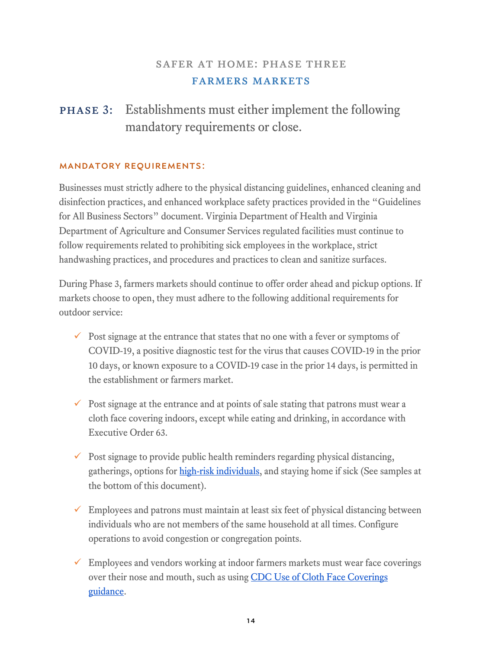## safer at home: phase three farmers markets

# phase 3: Establishments must either implement the following mandatory requirements or close.

#### Mandatory Requirements:

Businesses must strictly adhere to the physical distancing guidelines, enhanced cleaning and disinfection practices, and enhanced workplace safety practices provided in the "Guidelines for All Business Sectors" document. Virginia Department of Health and Virginia Department of Agriculture and Consumer Services regulated facilities must continue to follow requirements related to prohibiting sick employees in the workplace, strict handwashing practices, and procedures and practices to clean and sanitize surfaces.

During Phase 3, farmers markets should continue to offer order ahead and pickup options. If markets choose to open, they must adhere to the following additional requirements for outdoor service:

- $\checkmark$  Post signage at the entrance that states that no one with a fever or symptoms of COVID-19, a positive diagnostic test for the virus that causes COVID-19 in the prior 10 days, or known exposure to a COVID-19 case in the prior 14 days, is permitted in the establishment or farmers market.
- $\checkmark$  Post signage at the entrance and at points of sale stating that patrons must wear a cloth face covering indoors, except while eating and drinking, in accordance with Executive Order 63.
- $\checkmark$  Post signage to provide public health reminders regarding physical distancing, gatherings, options for [high-risk individuals,](https://www.cdc.gov/coronavirus/2019-ncov/need-extra-precautions/people-at-higher-risk.html) and staying home if sick (See samples at the bottom of this document).
- $\checkmark$  Employees and patrons must maintain at least six feet of physical distancing between individuals who are not members of the same household at all times. Configure operations to avoid congestion or congregation points.
- $\checkmark$  Employees and vendors working at indoor farmers markets must wear face coverings over their nose and mouth, such as using CDC Use of Cloth Face Coverings [guidance.](https://www.cdc.gov/coronavirus/2019-ncov/prevent-getting-sick/diy-cloth-face-coverings.html)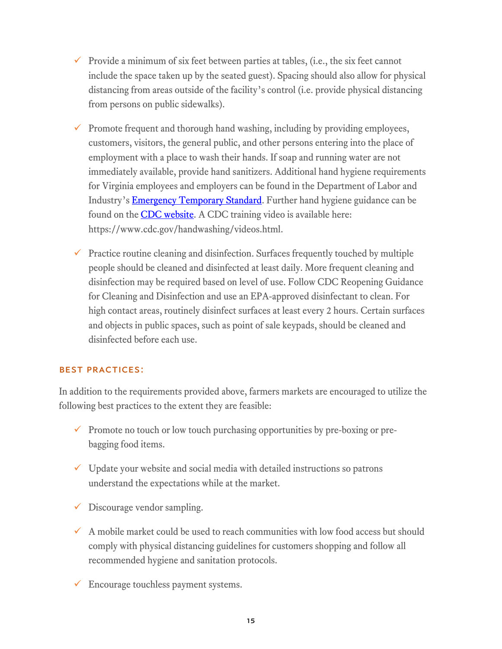- Provide a minimum of six feet between parties at tables, (i.e., the six feet cannot include the space taken up by the seated guest). Spacing should also allow for physical distancing from areas outside of the facility's control (i.e. provide physical distancing from persons on public sidewalks).
- $\checkmark$  Promote frequent and thorough hand washing, including by providing employees, customers, visitors, the general public, and other persons entering into the place of employment with a place to wash their hands. If soap and running water are not immediately available, provide hand sanitizers. Additional hand hygiene requirements for Virginia employees and employers can be found in the Department of Labor and Industry's [Emergency Temporary Standard.](https://www.doli.virginia.gov/wp-content/uploads/2020/07/RIS-filed-RTD-Final-ETS-7.24.2020.pdf) Further hand hygiene guidance can be found on the **CDC website**. A CDC training video is available here: https://www.cdc.gov/handwashing/videos.html.
- $\checkmark$  Practice routine cleaning and disinfection. Surfaces frequently touched by multiple people should be cleaned and disinfected at least daily. More frequent cleaning and disinfection may be required based on level of use. Follow CDC Reopening Guidance for Cleaning and Disinfection and use an EPA-approved disinfectant to clean. For high contact areas, routinely disinfect surfaces at least every 2 hours. Certain surfaces and objects in public spaces, such as point of sale keypads, should be cleaned and disinfected before each use.

#### Best Practices:

In addition to the requirements provided above, farmers markets are encouraged to utilize the following best practices to the extent they are feasible:

- $\checkmark$  Promote no touch or low touch purchasing opportunities by pre-boxing or prebagging food items.
- $\checkmark$  Update your website and social media with detailed instructions so patrons understand the expectations while at the market.
- $\checkmark$  Discourage vendor sampling.
- $\checkmark$  A mobile market could be used to reach communities with low food access but should comply with physical distancing guidelines for customers shopping and follow all recommended hygiene and sanitation protocols.
- $\checkmark$  Encourage touchless payment systems.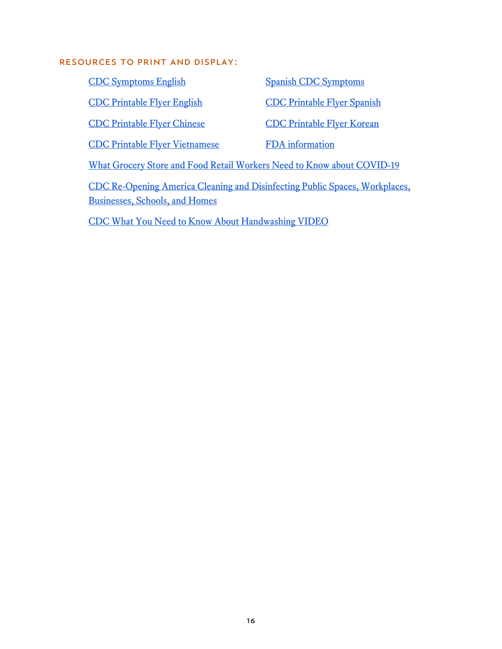#### Resources to print and display:

[CDC Symptoms English](https://www.cdc.gov/coronavirus/2019-ncov/symptoms-testing/symptoms.html) [Spanish CDC Symptoms](https://espanol.cdc.gov/coronavirus/2019-ncov/symptoms-testing/symptoms.html) [CDC Printable Flyer English](https://www.cdc.gov/coronavirus/2019-ncov/downloads/stop-the-spread-of-germs.pdf) [CDC Printable Flyer Spanish](https://www.cdc.gov/coronavirus/2019-ncov/downloads/stop-the-spread-of-germs-sp.pdf) CDC Printable Flyer Chinese<br> [CDC Printable Flyer Korean](https://www.cdc.gov/coronavirus/2019-ncov/downloads/stop-the-spread-of-germs-korean.pdf) [CDC Printable Flyer Vietnamese](https://www.cdc.gov/coronavirus/2019-ncov/downloads/stop-the-spread-of-germs-vietnamese.pdf) [FDA information](https://www.fda.gov/media/136812/download)  [What Grocery Store and Food Retail Workers Need to Know about COVID-19](https://www.cdc.gov/coronavirus/2019-ncov/community/organizations/grocery-food-retail-workers.html)

[CDC Re-Opening America Cleaning and Disinfecting Public Spaces, Workplaces,](https://www.cdc.gov/coronavirus/2019-ncov/community/pdf/ReOpening_America_Cleaning_Disinfection_Decision_Tool.pdf)  [Businesses, Schools, and Home](https://www.cdc.gov/coronavirus/2019-ncov/community/pdf/ReOpening_America_Cleaning_Disinfection_Decision_Tool.pdf)s

[CDC What You Need to Know About Handwashing VIDEO](https://www.youtube.com/watch?v=d914EnpU4Fo)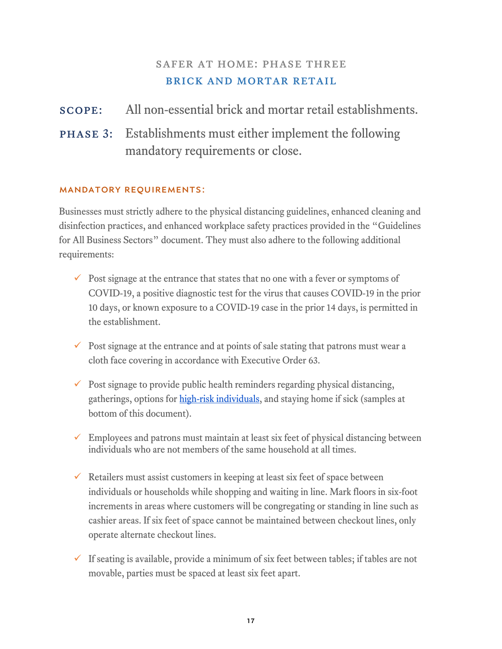## SAFER AT HOME: PHASE THREE brick and mortar retail

## scope: All non-essential brick and mortar retail establishments.

phase 3: Establishments must either implement the following mandatory requirements or close.

### Mandatory Requirements:

Businesses must strictly adhere to the physical distancing guidelines, enhanced cleaning and disinfection practices, and enhanced workplace safety practices provided in the "Guidelines for All Business Sectors" document. They must also adhere to the following additional requirements:

- $\checkmark$  Post signage at the entrance that states that no one with a fever or symptoms of COVID-19, a positive diagnostic test for the virus that causes COVID-19 in the prior 10 days, or known exposure to a COVID-19 case in the prior 14 days, is permitted in the establishment.
- $\checkmark$  Post signage at the entrance and at points of sale stating that patrons must wear a cloth face covering in accordance with Executive Order 63.
- $\checkmark$  Post signage to provide public health reminders regarding physical distancing, gatherings, options for [high-risk individuals,](https://www.cdc.gov/coronavirus/2019-ncov/need-extra-precautions/people-at-higher-risk.html) and staying home if sick (samples at bottom of this document).
- $\checkmark$  Employees and patrons must maintain at least six feet of physical distancing between individuals who are not members of the same household at all times.
- $\checkmark$  Retailers must assist customers in keeping at least six feet of space between individuals or households while shopping and waiting in line. Mark floors in six-foot increments in areas where customers will be congregating or standing in line such as cashier areas. If six feet of space cannot be maintained between checkout lines, only operate alternate checkout lines.
- If seating is available, provide a minimum of six feet between tables; if tables are not movable, parties must be spaced at least six feet apart.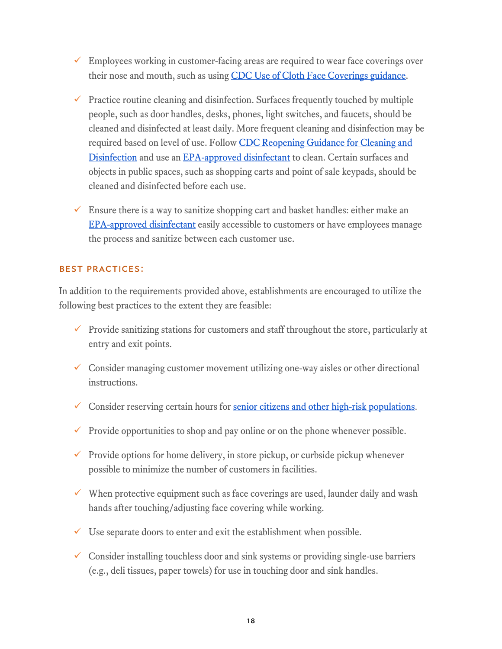- $\checkmark$  Employees working in customer-facing areas are required to wear face coverings over their nose and mouth, such as using [CDC Use of Cloth Face Coverings guidance.](https://www.cdc.gov/coronavirus/2019-ncov/prevent-getting-sick/diy-cloth-face-coverings.html)
- $\checkmark$  Practice routine cleaning and disinfection. Surfaces frequently touched by multiple people, such as door handles, desks, phones, light switches, and faucets, should be cleaned and disinfected at least daily. More frequent cleaning and disinfection may be required based on level of use. Follow CDC Reopening Guidance for Cleaning and [Disinfection](https://www.cdc.gov/coronavirus/2019-ncov/community/reopen-guidance.html) and use an [EPA-approved disinfectant](https://www.epa.gov/pesticide-registration/list-n-disinfectants-use-against-sars-cov-2) to clean. Certain surfaces and objects in public spaces, such as shopping carts and point of sale keypads, should be cleaned and disinfected before each use.
- $\checkmark$  Ensure there is a way to sanitize shopping cart and basket handles: either make an [EPA-approved disinfectant](https://www.epa.gov/pesticide-registration/list-n-disinfectants-use-against-sars-cov-2) easily accessible to customers or have employees manage the process and sanitize between each customer use.

#### Best Practices:

In addition to the requirements provided above, establishments are encouraged to utilize the following best practices to the extent they are feasible:

- $\checkmark$  Provide sanitizing stations for customers and staff throughout the store, particularly at entry and exit points.
- $\checkmark$  Consider managing customer movement utilizing one-way aisles or other directional instructions.
- Consider reserving certain hours for [senior citizens and other high-risk populations.](https://www.cdc.gov/coronavirus/2019-ncov/need-extra-precautions/people-at-higher-risk.html)
- $\checkmark$  Provide opportunities to shop and pay online or on the phone whenever possible.
- $\checkmark$  Provide options for home delivery, in store pickup, or curbside pickup whenever possible to minimize the number of customers in facilities.
- $\checkmark$  When protective equipment such as face coverings are used, launder daily and wash hands after touching/adjusting face covering while working.
- $\checkmark$  Use separate doors to enter and exit the establishment when possible.
- $\checkmark$  Consider installing touchless door and sink systems or providing single-use barriers (e.g., deli tissues, paper towels) for use in touching door and sink handles.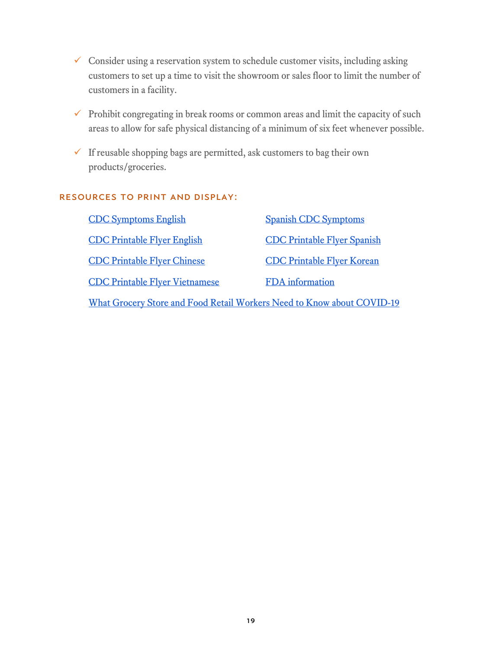- $\checkmark$  Consider using a reservation system to schedule customer visits, including asking customers to set up a time to visit the showroom or sales floor to limit the number of customers in a facility.
- $\checkmark$  Prohibit congregating in break rooms or common areas and limit the capacity of such areas to allow for safe physical distancing of a minimum of six feet whenever possible.
- $\checkmark$  If reusable shopping bags are permitted, ask customers to bag their own products/groceries.

#### Resources to print and display:

| <b>CDC Symptoms English</b>                                            | <b>Spanish CDC Symptoms</b>        |  |
|------------------------------------------------------------------------|------------------------------------|--|
| <b>CDC Printable Flyer English</b>                                     | <b>CDC Printable Flyer Spanish</b> |  |
| <b>CDC Printable Flyer Chinese</b>                                     | <b>CDC Printable Flyer Korean</b>  |  |
| <b>CDC Printable Flyer Vietnamese</b>                                  | <b>FDA</b> information             |  |
| What Grocery Store and Food Retail Workers Need to Know about COVID-19 |                                    |  |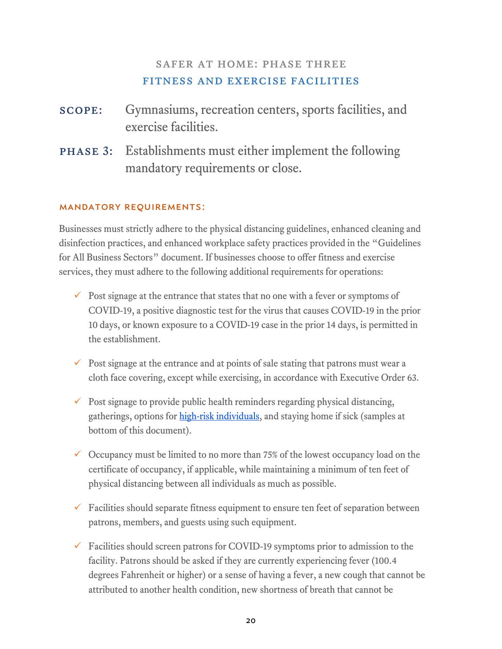## safer at home: phase three fitness and exercise facilities

| <b>SCOPE:</b> Gymnasiums, recreation centers, sports facilities, and |
|----------------------------------------------------------------------|
| exercise facilities.                                                 |

phase 3: Establishments must either implement the following mandatory requirements or close.

### Mandatory Requirements:

Businesses must strictly adhere to the physical distancing guidelines, enhanced cleaning and disinfection practices, and enhanced workplace safety practices provided in the "Guidelines for All Business Sectors" document. If businesses choose to offer fitness and exercise services, they must adhere to the following additional requirements for operations:

- $\checkmark$  Post signage at the entrance that states that no one with a fever or symptoms of COVID-19, a positive diagnostic test for the virus that causes COVID-19 in the prior 10 days, or known exposure to a COVID-19 case in the prior 14 days, is permitted in the establishment.
- $\checkmark$  Post signage at the entrance and at points of sale stating that patrons must wear a cloth face covering, except while exercising, in accordance with Executive Order 63.
- $\checkmark$  Post signage to provide public health reminders regarding physical distancing, gatherings, options for [high-risk individuals,](https://www.cdc.gov/coronavirus/2019-ncov/need-extra-precautions/people-at-higher-risk.html) and staying home if sick (samples at bottom of this document).
- $\checkmark$  Occupancy must be limited to no more than 75% of the lowest occupancy load on the certificate of occupancy, if applicable, while maintaining a minimum of ten feet of physical distancing between all individuals as much as possible.
- $\checkmark$  Facilities should separate fitness equipment to ensure ten feet of separation between patrons, members, and guests using such equipment.
- $\checkmark$  Facilities should screen patrons for COVID-19 symptoms prior to admission to the facility. Patrons should be asked if they are currently experiencing fever (100.4 degrees Fahrenheit or higher) or a sense of having a fever, a new cough that cannot be attributed to another health condition, new shortness of breath that cannot be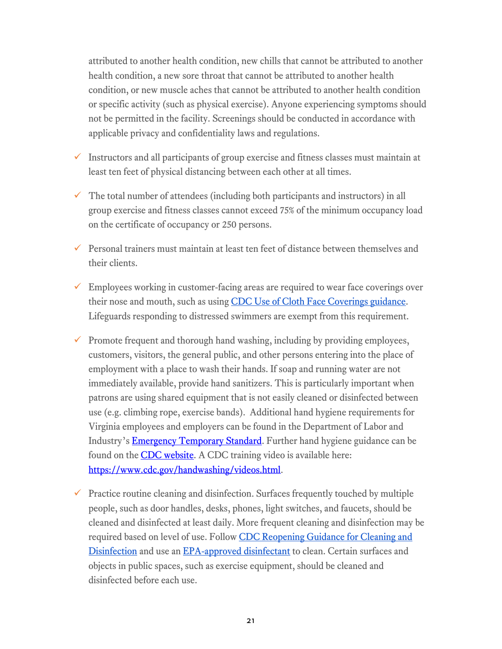attributed to another health condition, new chills that cannot be attributed to another health condition, a new sore throat that cannot be attributed to another health condition, or new muscle aches that cannot be attributed to another health condition or specific activity (such as physical exercise). Anyone experiencing symptoms should not be permitted in the facility. Screenings should be conducted in accordance with applicable privacy and confidentiality laws and regulations.

- $\checkmark$  Instructors and all participants of group exercise and fitness classes must maintain at least ten feet of physical distancing between each other at all times.
- $\checkmark$  The total number of attendees (including both participants and instructors) in all group exercise and fitness classes cannot exceed 75% of the minimum occupancy load on the certificate of occupancy or 250 persons.
- Personal trainers must maintain at least ten feet of distance between themselves and their clients.
- $\checkmark$  Employees working in customer-facing areas are required to wear face coverings over their nose and mouth, such as using [CDC Use of Cloth Face Coverings guidance.](https://www.cdc.gov/coronavirus/2019-ncov/prevent-getting-sick/diy-cloth-face-coverings.html) Lifeguards responding to distressed swimmers are exempt from this requirement.
- $\checkmark$  Promote frequent and thorough hand washing, including by providing employees, customers, visitors, the general public, and other persons entering into the place of employment with a place to wash their hands. If soap and running water are not immediately available, provide hand sanitizers. This is particularly important when patrons are using shared equipment that is not easily cleaned or disinfected between use (e.g. climbing rope, exercise bands). Additional hand hygiene requirements for Virginia employees and employers can be found in the Department of Labor and Industry's **Emergency Temporary Standard**. Further hand hygiene guidance can be found on the **CDC** website. A CDC training video is available here: [https://www.cdc.gov/handwashing/videos.html.](https://www.cdc.gov/handwashing/videos.html)
- $\checkmark$  Practice routine cleaning and disinfection. Surfaces frequently touched by multiple people, such as door handles, desks, phones, light switches, and faucets, should be cleaned and disinfected at least daily. More frequent cleaning and disinfection may be required based on level of use. Follow CDC Reopening Guidance for Cleaning and [Disinfection](https://www.cdc.gov/coronavirus/2019-ncov/community/reopen-guidance.html) and use an [EPA-approved disinfectant](https://www.epa.gov/pesticide-registration/list-n-disinfectants-use-against-sars-cov-2) to clean. Certain surfaces and objects in public spaces, such as exercise equipment, should be cleaned and disinfected before each use.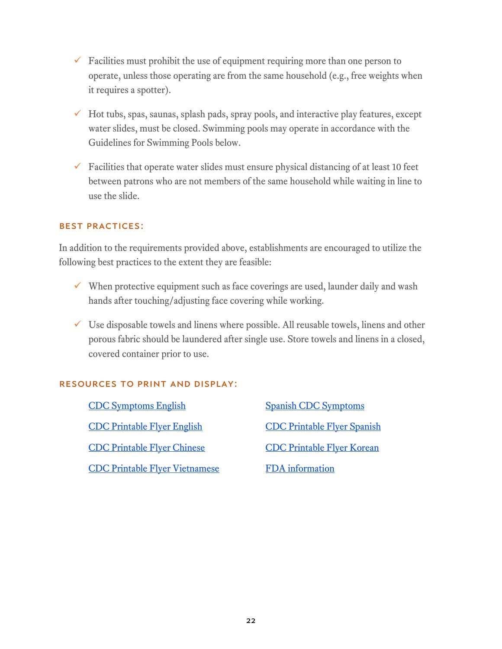- $\checkmark$  Facilities must prohibit the use of equipment requiring more than one person to operate, unless those operating are from the same household (e.g., free weights when it requires a spotter).
- $\checkmark$  Hot tubs, spas, saunas, splash pads, spray pools, and interactive play features, except water slides, must be closed. Swimming pools may operate in accordance with the Guidelines for Swimming Pools below.
- $\checkmark$  Facilities that operate water slides must ensure physical distancing of at least 10 feet between patrons who are not members of the same household while waiting in line to use the slide.

#### Best Practices:

In addition to the requirements provided above, establishments are encouraged to utilize the following best practices to the extent they are feasible:

- $\checkmark$  When protective equipment such as face coverings are used, launder daily and wash hands after touching/adjusting face covering while working.
- $\checkmark$  Use disposable towels and linens where possible. All reusable towels, linens and other porous fabric should be laundered after single use. Store towels and linens in a closed, covered container prior to use.

### Resources to print and display:

[CDC Symptoms English](https://www.cdc.gov/coronavirus/2019-ncov/symptoms-testing/symptoms.html) [Spanish CDC Symptoms](https://espanol.cdc.gov/coronavirus/2019-ncov/symptoms-testing/symptoms.html) [CDC Printable Flyer English](https://www.cdc.gov/coronavirus/2019-ncov/downloads/stop-the-spread-of-germs.pdf) [CDC Printable Flyer Spanish](https://www.cdc.gov/coronavirus/2019-ncov/downloads/stop-the-spread-of-germs-sp.pdf) [CDC Printable Flyer Chinese](https://www.cdc.gov/coronavirus/2019-ncov/downloads/stop-the-spread-of-germs-chinese.pdf) [CDC Printable Flyer Korean](https://www.cdc.gov/coronavirus/2019-ncov/downloads/stop-the-spread-of-germs-korean.pdf) [CDC Printable Flyer Vietnamese](https://www.cdc.gov/coronavirus/2019-ncov/downloads/stop-the-spread-of-germs-vietnamese.pdf) FDA information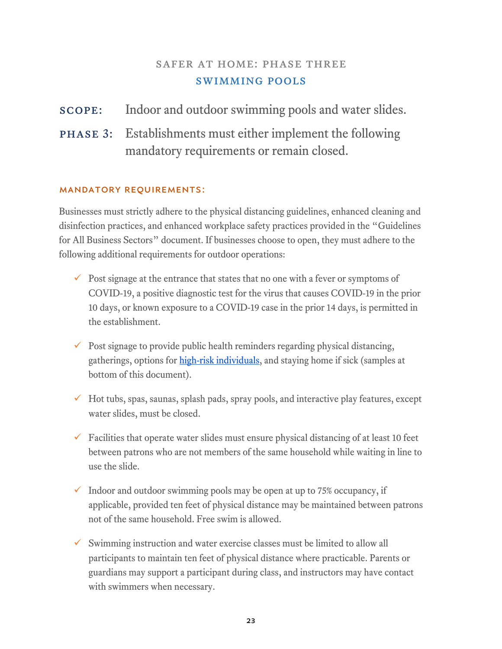## SAFER AT HOME: PHASE THREE swimming pools

## scope: Indoor and outdoor swimming pools and water slides.

phase 3: Establishments must either implement the following mandatory requirements or remain closed.

### Mandatory Requirements:

Businesses must strictly adhere to the physical distancing guidelines, enhanced cleaning and disinfection practices, and enhanced workplace safety practices provided in the "Guidelines for All Business Sectors" document. If businesses choose to open, they must adhere to the following additional requirements for outdoor operations:

- $\checkmark$  Post signage at the entrance that states that no one with a fever or symptoms of COVID-19, a positive diagnostic test for the virus that causes COVID-19 in the prior 10 days, or known exposure to a COVID-19 case in the prior 14 days, is permitted in the establishment.
- $\checkmark$  Post signage to provide public health reminders regarding physical distancing, gatherings, options for [high-risk individuals,](https://www.cdc.gov/coronavirus/2019-ncov/need-extra-precautions/people-at-higher-risk.html) and staying home if sick (samples at bottom of this document).
- $\checkmark$  Hot tubs, spas, saunas, splash pads, spray pools, and interactive play features, except water slides, must be closed.
- $\checkmark$  Facilities that operate water slides must ensure physical distancing of at least 10 feet between patrons who are not members of the same household while waiting in line to use the slide.
- $\checkmark$  Indoor and outdoor swimming pools may be open at up to 75% occupancy, if applicable, provided ten feet of physical distance may be maintained between patrons not of the same household. Free swim is allowed.
- $\checkmark$  Swimming instruction and water exercise classes must be limited to allow all participants to maintain ten feet of physical distance where practicable. Parents or guardians may support a participant during class, and instructors may have contact with swimmers when necessary.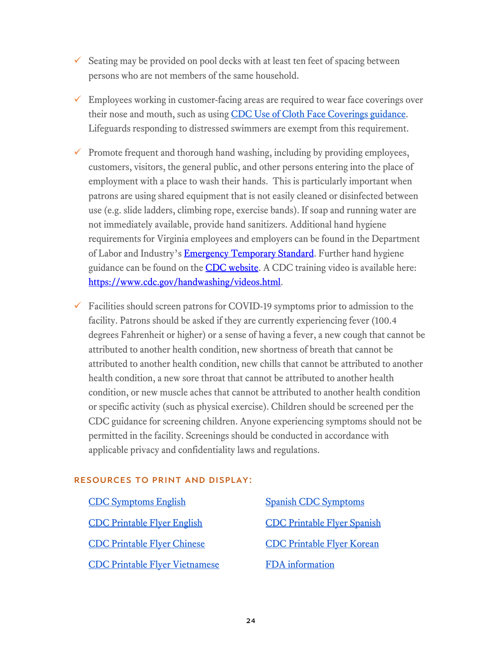- $\checkmark$  Seating may be provided on pool decks with at least ten feet of spacing between persons who are not members of the same household.
- $\checkmark$  Employees working in customer-facing areas are required to wear face coverings over their nose and mouth, such as using [CDC Use of Cloth Face Coverings guidance.](https://www.cdc.gov/coronavirus/2019-ncov/prevent-getting-sick/diy-cloth-face-coverings.html) Lifeguards responding to distressed swimmers are exempt from this requirement.
- $\checkmark$  Promote frequent and thorough hand washing, including by providing employees, customers, visitors, the general public, and other persons entering into the place of employment with a place to wash their hands. This is particularly important when patrons are using shared equipment that is not easily cleaned or disinfected between use (e.g. slide ladders, climbing rope, exercise bands). If soap and running water are not immediately available, provide hand sanitizers. Additional hand hygiene requirements for Virginia employees and employers can be found in the Department of Labor and Industry's **Emergency Temporary Standard**. Further hand hygiene guidance can be found on the **CDC website**. A CDC training video is available here: [https://www.cdc.gov/handwashing/videos.html.](https://www.cdc.gov/handwashing/videos.html)
- $\checkmark$  Facilities should screen patrons for COVID-19 symptoms prior to admission to the facility. Patrons should be asked if they are currently experiencing fever (100.4 degrees Fahrenheit or higher) or a sense of having a fever, a new cough that cannot be attributed to another health condition, new shortness of breath that cannot be attributed to another health condition, new chills that cannot be attributed to another health condition, a new sore throat that cannot be attributed to another health condition, or new muscle aches that cannot be attributed to another health condition or specific activity (such as physical exercise). Children should be screened per the CDC guidance for screening children. Anyone experiencing symptoms should not be permitted in the facility. Screenings should be conducted in accordance with applicable privacy and confidentiality laws and regulations.

#### Resources to print and display:

| <b>CDC Symptoms English</b>           | <b>Spanish CDC Symptoms</b>        |
|---------------------------------------|------------------------------------|
| <b>CDC Printable Flyer English</b>    | <b>CDC Printable Flyer Spanish</b> |
| <b>CDC Printable Flyer Chinese</b>    | <b>CDC Printable Flyer Korean</b>  |
| <b>CDC Printable Flyer Vietnamese</b> | <b>FDA</b> information             |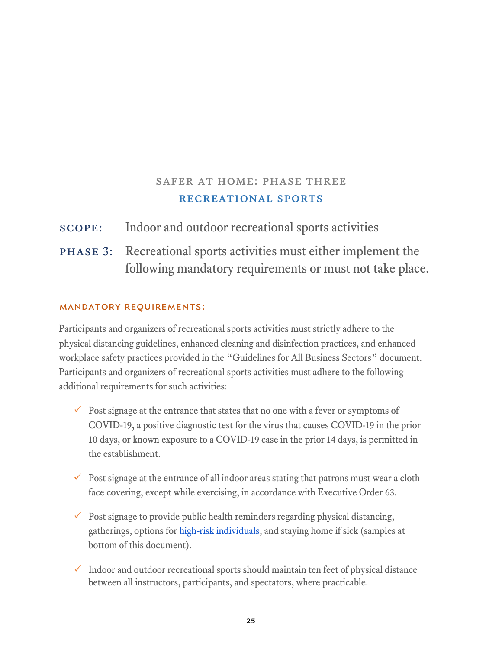## SAFER AT HOME: PHASE THREE recreational sports

scope: Indoor and outdoor recreational sports activities

phase 3: Recreational sports activities must either implement the following mandatory requirements or must not take place.

#### Mandatory Requirements:

Participants and organizers of recreational sports activities must strictly adhere to the physical distancing guidelines, enhanced cleaning and disinfection practices, and enhanced workplace safety practices provided in the "Guidelines for All Business Sectors" document. Participants and organizers of recreational sports activities must adhere to the following additional requirements for such activities:

- $\checkmark$  Post signage at the entrance that states that no one with a fever or symptoms of COVID-19, a positive diagnostic test for the virus that causes COVID-19 in the prior 10 days, or known exposure to a COVID-19 case in the prior 14 days, is permitted in the establishment.
- Post signage at the entrance of all indoor areas stating that patrons must wear a cloth face covering, except while exercising, in accordance with Executive Order 63.
- $\checkmark$  Post signage to provide public health reminders regarding physical distancing, gatherings, options for [high-risk individuals,](https://www.cdc.gov/coronavirus/2019-ncov/need-extra-precautions/people-at-higher-risk.html) and staying home if sick (samples at bottom of this document).
- $\checkmark$  Indoor and outdoor recreational sports should maintain ten feet of physical distance between all instructors, participants, and spectators, where practicable.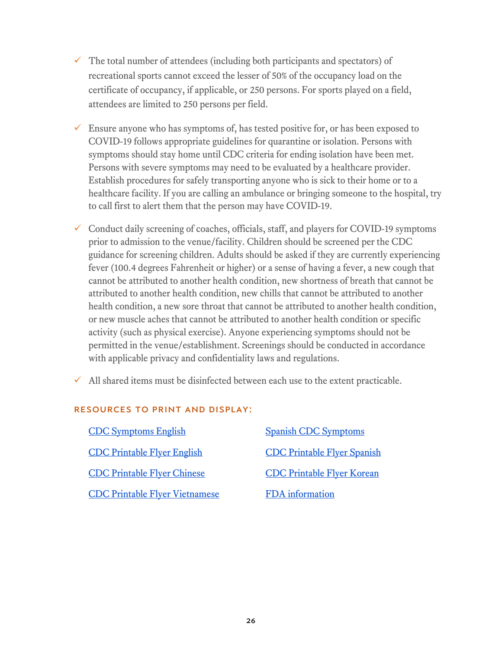- $\checkmark$  The total number of attendees (including both participants and spectators) of recreational sports cannot exceed the lesser of 50% of the occupancy load on the certificate of occupancy, if applicable, or 250 persons. For sports played on a field, attendees are limited to 250 persons per field.
- $\checkmark$  Ensure anyone who has symptoms of, has tested positive for, or has been exposed to COVID-19 follows appropriate guidelines for quarantine or isolation. Persons with symptoms should stay home until CDC criteria for ending isolation have been met. Persons with severe symptoms may need to be evaluated by a healthcare provider. Establish procedures for safely transporting anyone who is sick to their home or to a healthcare facility. If you are calling an ambulance or bringing someone to the hospital, try to call first to alert them that the person may have COVID-19.
- $\checkmark$  Conduct daily screening of coaches, officials, staff, and players for COVID-19 symptoms prior to admission to the venue/facility. Children should be screened per the CDC guidance for screening children. Adults should be asked if they are currently experiencing fever (100.4 degrees Fahrenheit or higher) or a sense of having a fever, a new cough that cannot be attributed to another health condition, new shortness of breath that cannot be attributed to another health condition, new chills that cannot be attributed to another health condition, a new sore throat that cannot be attributed to another health condition, or new muscle aches that cannot be attributed to another health condition or specific activity (such as physical exercise). Anyone experiencing symptoms should not be permitted in the venue/establishment. Screenings should be conducted in accordance with applicable privacy and confidentiality laws and regulations.
- $\checkmark$  All shared items must be disinfected between each use to the extent practicable.

### Resources to print and display:

| <b>CDC Symptoms English</b>           | <b>Spanish CDC Symptoms</b>        |
|---------------------------------------|------------------------------------|
| <b>CDC Printable Flyer English</b>    | <b>CDC Printable Flyer Spanish</b> |
| <b>CDC Printable Flyer Chinese</b>    | <b>CDC Printable Flyer Korean</b>  |
| <b>CDC Printable Flyer Vietnamese</b> | <b>FDA</b> information             |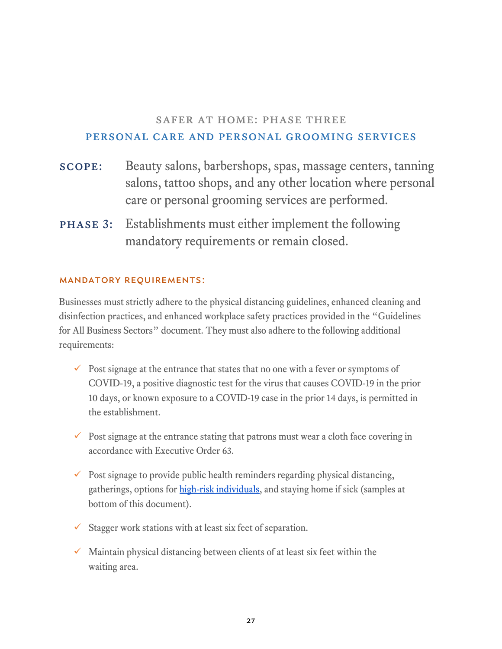## safer at home: phase three personal care and personal grooming services

- scope: Beauty salons, barbershops, spas, massage centers, tanning salons, tattoo shops, and any other location where personal care or personal grooming services are performed.
- phase 3: Establishments must either implement the following mandatory requirements or remain closed.

#### Mandatory Requirements:

Businesses must strictly adhere to the physical distancing guidelines, enhanced cleaning and disinfection practices, and enhanced workplace safety practices provided in the "Guidelines for All Business Sectors" document. They must also adhere to the following additional requirements:

- $\checkmark$  Post signage at the entrance that states that no one with a fever or symptoms of COVID-19, a positive diagnostic test for the virus that causes COVID-19 in the prior 10 days, or known exposure to a COVID-19 case in the prior 14 days, is permitted in the establishment.
- $\checkmark$  Post signage at the entrance stating that patrons must wear a cloth face covering in accordance with Executive Order 63.
- $\checkmark$  Post signage to provide public health reminders regarding physical distancing, gatherings, options for [high-risk individuals,](https://www.cdc.gov/coronavirus/2019-ncov/need-extra-precautions/people-at-higher-risk.html) and staying home if sick (samples at bottom of this document).
- $\checkmark$  Stagger work stations with at least six feet of separation.
- $\checkmark$  Maintain physical distancing between clients of at least six feet within the waiting area.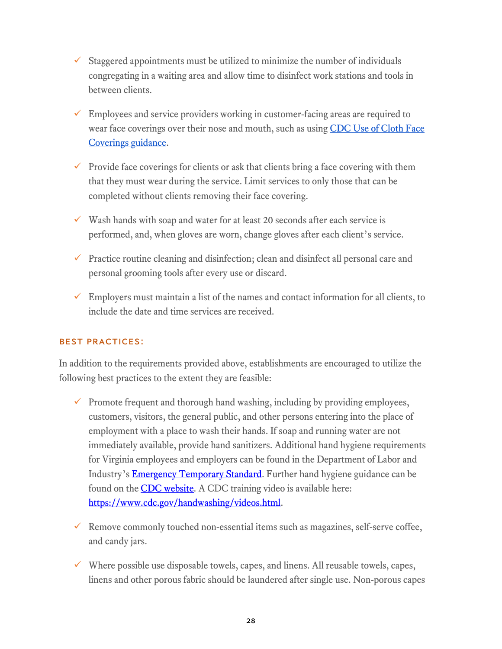- $\checkmark$  Staggered appointments must be utilized to minimize the number of individuals congregating in a waiting area and allow time to disinfect work stations and tools in between clients.
- $\checkmark$  Employees and service providers working in customer-facing areas are required to wear face coverings over their nose and mouth, such as using CDC Use of Cloth Face [Coverings guidance.](https://www.cdc.gov/coronavirus/2019-ncov/prevent-getting-sick/diy-cloth-face-coverings.html)
- $\checkmark$  Provide face coverings for clients or ask that clients bring a face covering with them that they must wear during the service. Limit services to only those that can be completed without clients removing their face covering.
- $\checkmark$  Wash hands with soap and water for at least 20 seconds after each service is performed, and, when gloves are worn, change gloves after each client's service.
- $\checkmark$  Practice routine cleaning and disinfection; clean and disinfect all personal care and personal grooming tools after every use or discard.
- $\checkmark$  Employers must maintain a list of the names and contact information for all clients, to include the date and time services are received.

### Best Practices:

In addition to the requirements provided above, establishments are encouraged to utilize the following best practices to the extent they are feasible:

- $\checkmark$  Promote frequent and thorough hand washing, including by providing employees, customers, visitors, the general public, and other persons entering into the place of employment with a place to wash their hands. If soap and running water are not immediately available, provide hand sanitizers. Additional hand hygiene requirements for Virginia employees and employers can be found in the Department of Labor and Industry's **Emergency Temporary Standard**. Further hand hygiene guidance can be found on the **CDC** website. A CDC training video is available here: [https://www.cdc.gov/handwashing/videos.html.](https://www.cdc.gov/handwashing/videos.html)
- $\checkmark$  Remove commonly touched non-essential items such as magazines, self-serve coffee, and candy jars.
- $\checkmark$  Where possible use disposable towels, capes, and linens. All reusable towels, capes, linens and other porous fabric should be laundered after single use. Non-porous capes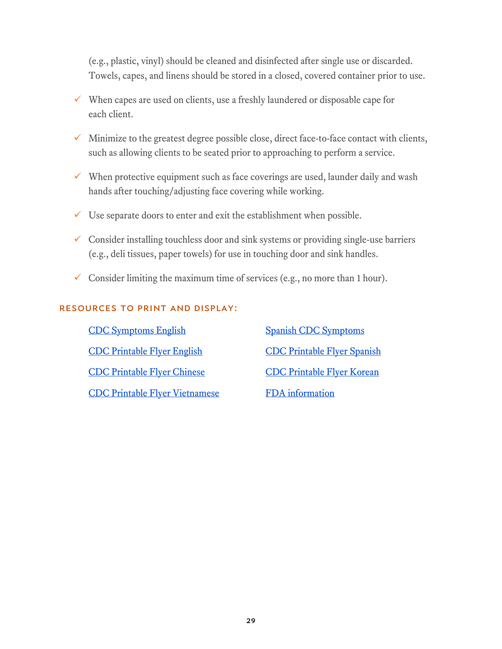(e.g., plastic, vinyl) should be cleaned and disinfected after single use or discarded. Towels, capes, and linens should be stored in a closed, covered container prior to use.

- $\checkmark$  When capes are used on clients, use a freshly laundered or disposable cape for each client.
- $\checkmark$  Minimize to the greatest degree possible close, direct face-to-face contact with clients, such as allowing clients to be seated prior to approaching to perform a service.
- $\checkmark$  When protective equipment such as face coverings are used, launder daily and wash hands after touching/adjusting face covering while working.
- $\checkmark$  Use separate doors to enter and exit the establishment when possible.
- $\checkmark$  Consider installing touchless door and sink systems or providing single-use barriers (e.g., deli tissues, paper towels) for use in touching door and sink handles.
- Consider limiting the maximum time of services (e.g., no more than 1 hour).

#### Resources to print and display:

[CDC Symptoms English](https://www.cdc.gov/coronavirus/2019-ncov/symptoms-testing/symptoms.html) [Spanish CDC Symptoms](https://espanol.cdc.gov/coronavirus/2019-ncov/symptoms-testing/symptoms.html) [CDC Printable Flyer English](https://www.cdc.gov/coronavirus/2019-ncov/downloads/stop-the-spread-of-germs.pdf) [CDC Printable Flyer Spanish](https://www.cdc.gov/coronavirus/2019-ncov/downloads/stop-the-spread-of-germs-sp.pdf) [CDC Printable Flyer Chinese](https://www.cdc.gov/coronavirus/2019-ncov/downloads/stop-the-spread-of-germs-chinese.pdf) [CDC Printable Flyer Korean](https://www.cdc.gov/coronavirus/2019-ncov/downloads/stop-the-spread-of-germs-korean.pdf) [CDC Printable Flyer Vietnamese](https://www.cdc.gov/coronavirus/2019-ncov/downloads/stop-the-spread-of-germs-vietnamese.pdf) FDA information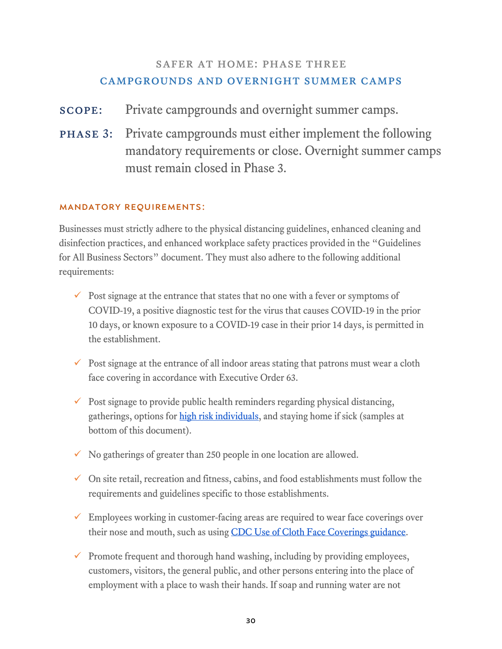## safer at home: phase three campgrounds and overnight summer camps

- scope: Private campgrounds and overnight summer camps.
- phase 3: Private campgrounds must either implement the following mandatory requirements or close. Overnight summer camps must remain closed in Phase 3.

### Mandatory Requirements:

Businesses must strictly adhere to the physical distancing guidelines, enhanced cleaning and disinfection practices, and enhanced workplace safety practices provided in the "Guidelines for All Business Sectors" document. They must also adhere to the following additional requirements:

- $\checkmark$  Post signage at the entrance that states that no one with a fever or symptoms of COVID-19, a positive diagnostic test for the virus that causes COVID-19 in the prior 10 days, or known exposure to a COVID-19 case in their prior 14 days, is permitted in the establishment.
- $\checkmark$  Post signage at the entrance of all indoor areas stating that patrons must wear a cloth face covering in accordance with Executive Order 63.
- $\checkmark$  Post signage to provide public health reminders regarding physical distancing, gatherings, options for [high risk individuals,](https://www.cdc.gov/coronavirus/2019-ncov/need-extra-precautions/people-at-higher-risk.html) and staying home if sick (samples at bottom of this document).
- $\checkmark$  No gatherings of greater than 250 people in one location are allowed.
- $\checkmark$  On site retail, recreation and fitness, cabins, and food establishments must follow the requirements and guidelines specific to those establishments.
- $\checkmark$  Employees working in customer-facing areas are required to wear face coverings over their nose and mouth, such as using [CDC Use of Cloth Face Coverings guidance.](https://www.cdc.gov/coronavirus/2019-ncov/prevent-getting-sick/diy-cloth-face-coverings.html)
- Promote frequent and thorough hand washing, including by providing employees, customers, visitors, the general public, and other persons entering into the place of employment with a place to wash their hands. If soap and running water are not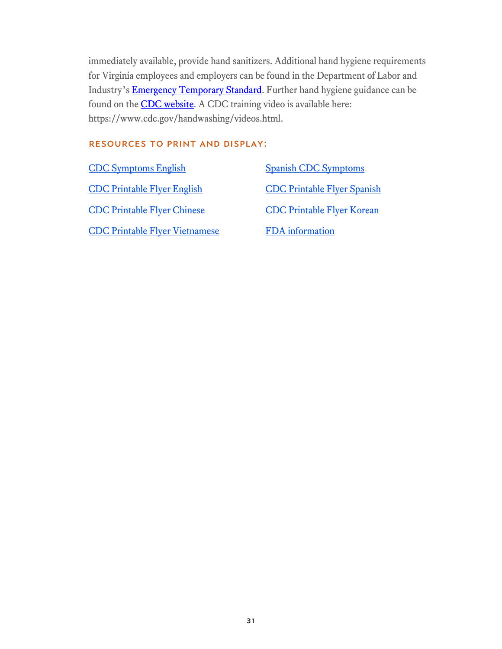immediately available, provide hand sanitizers. Additional hand hygiene requirements for Virginia employees and employers can be found in the Department of Labor and Industry's [Emergency Temporary Standard.](https://www.doli.virginia.gov/wp-content/uploads/2020/07/RIS-filed-RTD-Final-ETS-7.24.2020.pdf) Further hand hygiene guidance can be found on the **CDC** website. A CDC training video is available here: https://www.cdc.gov/handwashing/videos.html.

#### Resources to print and display:

[CDC Symptoms English](https://www.cdc.gov/coronavirus/2019-ncov/symptoms-testing/symptoms.html) [Spanish CDC Symptoms](https://espanol.cdc.gov/coronavirus/2019-ncov/symptoms-testing/symptoms.html) [CDC Printable Flyer English](https://www.cdc.gov/coronavirus/2019-ncov/downloads/stop-the-spread-of-germs.pdf) [CDC Printable Flyer Spanish](https://www.cdc.gov/coronavirus/2019-ncov/downloads/stop-the-spread-of-germs-sp.pdf) [CDC Printable Flyer Chinese](https://www.cdc.gov/coronavirus/2019-ncov/downloads/stop-the-spread-of-germs-chinese.pdf) [CDC Printable Flyer Korean](https://www.cdc.gov/coronavirus/2019-ncov/downloads/stop-the-spread-of-germs-korean.pdf) [CDC Printable Flyer Vietnamese](https://www.cdc.gov/coronavirus/2019-ncov/downloads/stop-the-spread-of-germs-vietnamese.pdf) FDA information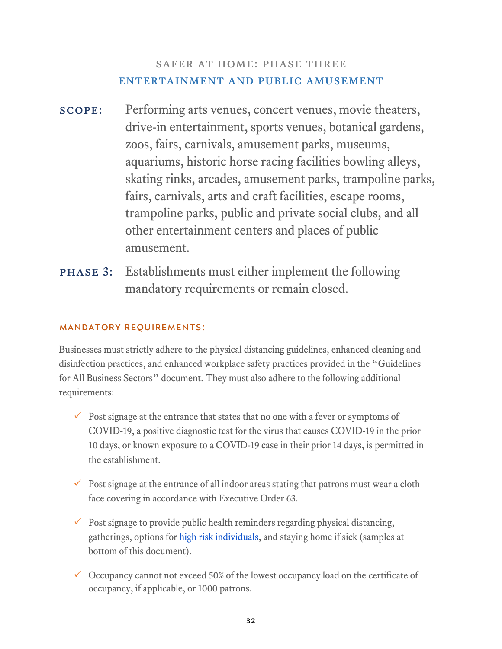## safer at home: phase three entertainment and public amusement

- scope: Performing arts venues, concert venues, movie theaters, drive-in entertainment, sports venues, botanical gardens, zoos, fairs, carnivals, amusement parks, museums, aquariums, historic horse racing facilities bowling alleys, skating rinks, arcades, amusement parks, trampoline parks, fairs, carnivals, arts and craft facilities, escape rooms, trampoline parks, public and private social clubs, and all other entertainment centers and places of public amusement.
- phase 3: Establishments must either implement the following mandatory requirements or remain closed.

## Mandatory Requirements:

Businesses must strictly adhere to the physical distancing guidelines, enhanced cleaning and disinfection practices, and enhanced workplace safety practices provided in the "Guidelines for All Business Sectors" document. They must also adhere to the following additional requirements:

- $\checkmark$  Post signage at the entrance that states that no one with a fever or symptoms of COVID-19, a positive diagnostic test for the virus that causes COVID-19 in the prior 10 days, or known exposure to a COVID-19 case in their prior 14 days, is permitted in the establishment.
- $\checkmark$  Post signage at the entrance of all indoor areas stating that patrons must wear a cloth face covering in accordance with Executive Order 63.
- $\checkmark$  Post signage to provide public health reminders regarding physical distancing, gatherings, options for [high risk individuals,](https://www.cdc.gov/coronavirus/2019-ncov/need-extra-precautions/people-at-higher-risk.html) and staying home if sick (samples at bottom of this document).
- $\checkmark$  Occupancy cannot not exceed 50% of the lowest occupancy load on the certificate of occupancy, if applicable, or 1000 patrons.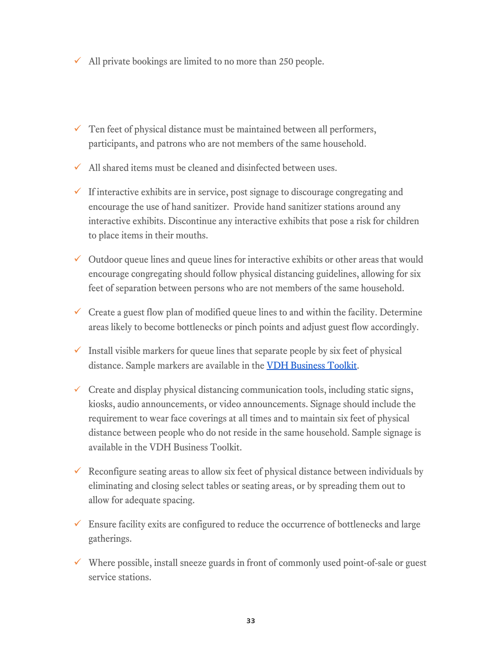- $\checkmark$  All private bookings are limited to no more than 250 people.
- $\checkmark$  Ten feet of physical distance must be maintained between all performers, participants, and patrons who are not members of the same household.
- $\checkmark$  All shared items must be cleaned and disinfected between uses.
- $\checkmark$  If interactive exhibits are in service, post signage to discourage congregating and encourage the use of hand sanitizer. Provide hand sanitizer stations around any interactive exhibits. Discontinue any interactive exhibits that pose a risk for children to place items in their mouths.
- $\checkmark$  Outdoor queue lines and queue lines for interactive exhibits or other areas that would encourage congregating should follow physical distancing guidelines, allowing for six feet of separation between persons who are not members of the same household.
- $\checkmark$  Create a guest flow plan of modified queue lines to and within the facility. Determine areas likely to become bottlenecks or pinch points and adjust guest flow accordingly.
- $\checkmark$  Install visible markers for queue lines that separate people by six feet of physical distance. Sample markers are available in the [VDH Business Toolkit.](https://www.vdh.virginia.gov/coronavirus/schools-workplaces-community-locations/businesses/)
- $\checkmark$  Create and display physical distancing communication tools, including static signs, kiosks, audio announcements, or video announcements. Signage should include the requirement to wear face coverings at all times and to maintain six feet of physical distance between people who do not reside in the same household. Sample signage is available in the VDH Business Toolkit.
- $\checkmark$  Reconfigure seating areas to allow six feet of physical distance between individuals by eliminating and closing select tables or seating areas, or by spreading them out to allow for adequate spacing.
- $\checkmark$  Ensure facility exits are configured to reduce the occurrence of bottlenecks and large gatherings.
- $\checkmark$  Where possible, install sneeze guards in front of commonly used point-of-sale or guest service stations.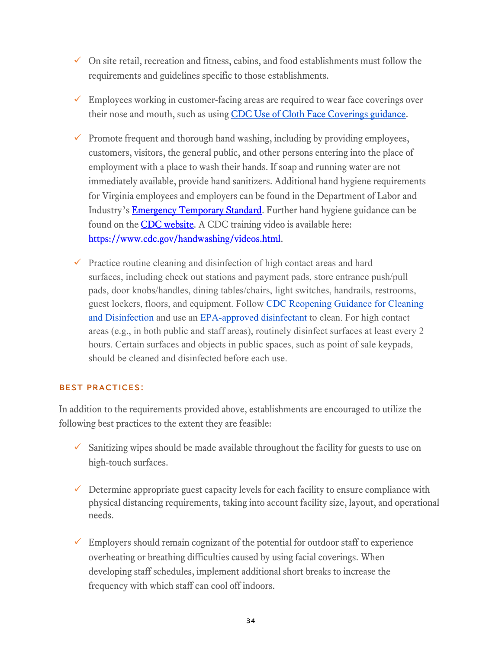- $\checkmark$  On site retail, recreation and fitness, cabins, and food establishments must follow the requirements and guidelines specific to those establishments.
- $\checkmark$  Employees working in customer-facing areas are required to wear face coverings over their nose and mouth, such as using [CDC Use of Cloth Face Coverings guidance.](https://www.cdc.gov/coronavirus/2019-ncov/prevent-getting-sick/diy-cloth-face-coverings.html)
- $\checkmark$  Promote frequent and thorough hand washing, including by providing employees, customers, visitors, the general public, and other persons entering into the place of employment with a place to wash their hands. If soap and running water are not immediately available, provide hand sanitizers. Additional hand hygiene requirements for Virginia employees and employers can be found in the Department of Labor and Industry's [Emergency Temporary Standard.](https://www.doli.virginia.gov/wp-content/uploads/2020/07/RIS-filed-RTD-Final-ETS-7.24.2020.pdf) Further hand hygiene guidance can be found on the **CDC** website. A CDC training video is available here: [https://www.cdc.gov/handwashing/videos.html.](https://www.cdc.gov/handwashing/videos.html)
- $\checkmark$  Practice routine cleaning and disinfection of high contact areas and hard surfaces, including check out stations and payment pads, store entrance push/pull pads, door knobs/handles, dining tables/chairs, light switches, handrails, restrooms, guest lockers, floors, and equipment. Follow CDC Reopening Guidance for Cleaning and Disinfection and use an EPA-approved disinfectant to clean. For high contact areas (e.g., in both public and staff areas), routinely disinfect surfaces at least every 2 hours. Certain surfaces and objects in public spaces, such as point of sale keypads, should be cleaned and disinfected before each use.

### Best Practices:

In addition to the requirements provided above, establishments are encouraged to utilize the following best practices to the extent they are feasible:

- $\checkmark$  Sanitizing wipes should be made available throughout the facility for guests to use on high-touch surfaces.
- $\checkmark$  Determine appropriate guest capacity levels for each facility to ensure compliance with physical distancing requirements, taking into account facility size, layout, and operational needs.
- $\checkmark$  Employers should remain cognizant of the potential for outdoor staff to experience overheating or breathing difficulties caused by using facial coverings. When developing staff schedules, implement additional short breaks to increase the frequency with which staff can cool off indoors.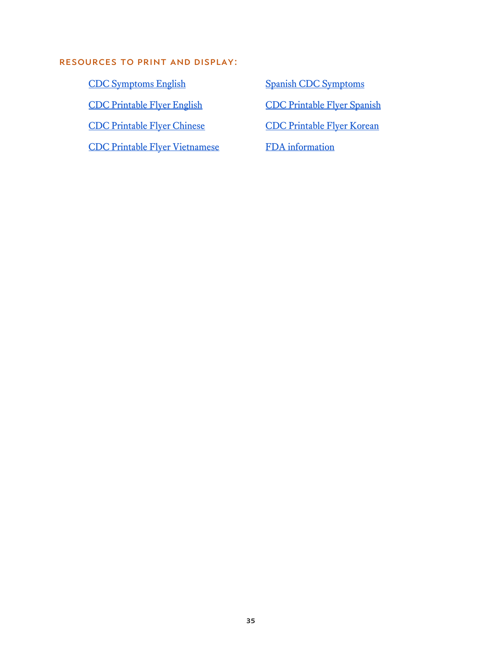#### Resources to print and display:

[CDC Symptoms English](https://www.cdc.gov/coronavirus/2019-ncov/symptoms-testing/symptoms.html) [Spanish CDC Symptoms](https://espanol.cdc.gov/coronavirus/2019-ncov/symptoms-testing/symptoms.html) [CDC Printable Flyer English](https://www.cdc.gov/coronavirus/2019-ncov/downloads/stop-the-spread-of-germs.pdf) [CDC Printable Flyer Spanish](https://www.cdc.gov/coronavirus/2019-ncov/downloads/stop-the-spread-of-germs-sp.pdf) CDC Printable Flyer Chinese<br>[CDC Printable Flyer Korean](https://www.cdc.gov/coronavirus/2019-ncov/downloads/stop-the-spread-of-germs-korean.pdf) [CDC Printable Flyer Vietnamese](https://www.cdc.gov/coronavirus/2019-ncov/downloads/stop-the-spread-of-germs-vietnamese.pdf) FDA information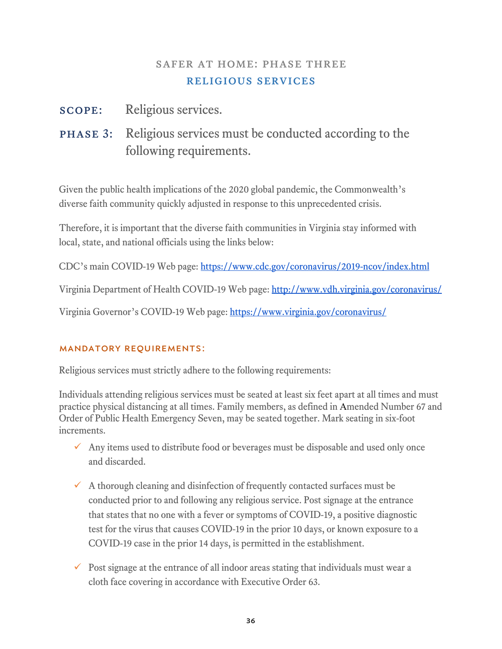## SAFER AT HOME: PHASE THREE religious services

## scope: Religious services.

phase 3: Religious services must be conducted according to the following requirements.

Given the public health implications of the 2020 global pandemic, the Commonwealth's diverse faith community quickly adjusted in response to this unprecedented crisis.

Therefore, it is important that the diverse faith communities in Virginia stay informed with local, state, and national officials using the links below:

CDC's main COVID-19 Web page: <https://www.cdc.gov/coronavirus/2019-ncov/index.html>

Virginia Department of Health COVID-19 Web page: <http://www.vdh.virginia.gov/coronavirus/>

Virginia Governor's COVID-19 Web page: <https://www.virginia.gov/coronavirus/>

### Mandatory Requirements:

Religious services must strictly adhere to the following requirements:

Individuals attending religious services must be seated at least six feet apart at all times and must practice physical distancing at all times. Family members, as defined in Amended Number 67 and Order of Public Health Emergency Seven, may be seated together. Mark seating in six-foot increments.

- $\checkmark$  Any items used to distribute food or beverages must be disposable and used only once and discarded.
- $\checkmark$  A thorough cleaning and disinfection of frequently contacted surfaces must be conducted prior to and following any religious service. Post signage at the entrance that states that no one with a fever or symptoms of COVID-19, a positive diagnostic test for the virus that causes COVID-19 in the prior 10 days, or known exposure to a COVID-19 case in the prior 14 days, is permitted in the establishment.
- $\checkmark$  Post signage at the entrance of all indoor areas stating that individuals must wear a cloth face covering in accordance with Executive Order 63.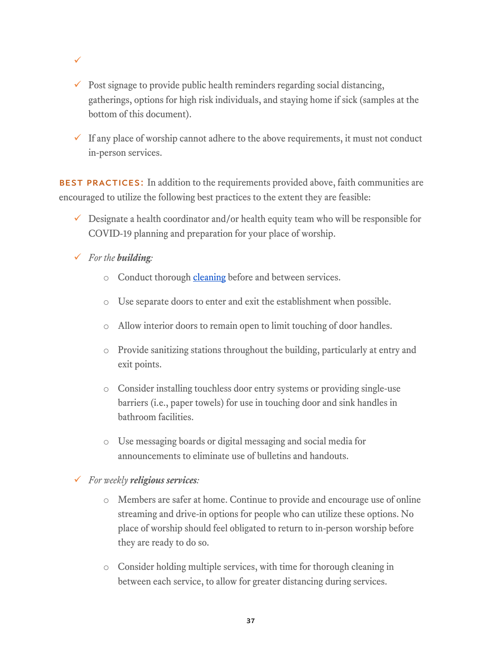- $\checkmark$
- $\checkmark$  Post signage to provide public health reminders regarding social distancing, gatherings, options for high risk individuals, and staying home if sick (samples at the bottom of this document).
- $\checkmark$  If any place of worship cannot adhere to the above requirements, it must not conduct in-person services.

BEST PRACTICES: In addition to the requirements provided above, faith communities are encouraged to utilize the following best practices to the extent they are feasible:

- $\checkmark$  Designate a health coordinator and/or health equity team who will be responsible for COVID-19 planning and preparation for your place of worship.
- *For the building:*
	- o Conduct thorough [cleaning](https://www.cdc.gov/coronavirus/2019-ncov/community/reopen-guidance.html) before and between services.
	- o Use separate doors to enter and exit the establishment when possible.
	- o Allow interior doors to remain open to limit touching of door handles.
	- o Provide sanitizing stations throughout the building, particularly at entry and exit points.
	- o Consider installing touchless door entry systems or providing single-use barriers (i.e., paper towels) for use in touching door and sink handles in bathroom facilities.
	- o Use messaging boards or digital messaging and social media for announcements to eliminate use of bulletins and handouts.
- *For weekly religious services:*
	- o Members are safer at home. Continue to provide and encourage use of online streaming and drive-in options for people who can utilize these options. No place of worship should feel obligated to return to in-person worship before they are ready to do so.
	- o Consider holding multiple services, with time for thorough cleaning in between each service, to allow for greater distancing during services.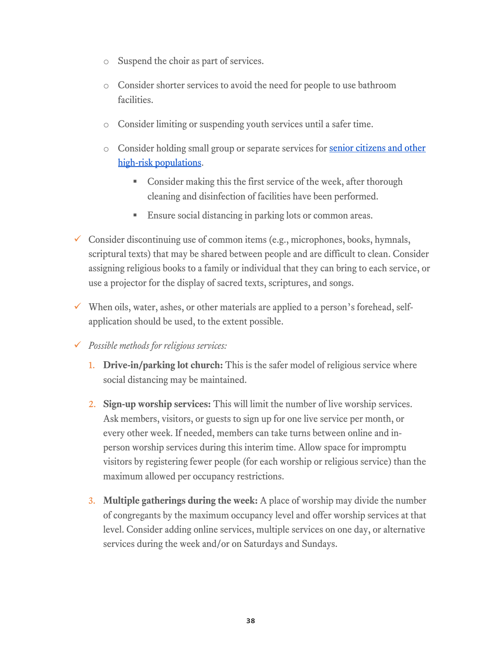- o Suspend the choir as part of services.
- o Consider shorter services to avoid the need for people to use bathroom facilities.
- o Consider limiting or suspending youth services until a safer time.
- o Consider holding small group or separate services for [senior citizens and other](https://www.cdc.gov/coronavirus/2019-ncov/need-extra-precautions/people-at-higher-risk.html)  [high-risk populations.](https://www.cdc.gov/coronavirus/2019-ncov/need-extra-precautions/people-at-higher-risk.html)
	- **Consider making this the first service of the week, after thorough** cleaning and disinfection of facilities have been performed.
	- Ensure social distancing in parking lots or common areas.
- $\checkmark$  Consider discontinuing use of common items (e.g., microphones, books, hymnals, scriptural texts) that may be shared between people and are difficult to clean. Consider assigning religious books to a family or individual that they can bring to each service, or use a projector for the display of sacred texts, scriptures, and songs.
- $\checkmark$  When oils, water, ashes, or other materials are applied to a person's forehead, selfapplication should be used, to the extent possible.
- *Possible methods for religious services:* 
	- 1. **Drive-in/parking lot church:** This is the safer model of religious service where social distancing may be maintained.
	- 2. **Sign-up worship services:** This will limit the number of live worship services. Ask members, visitors, or guests to sign up for one live service per month, or every other week. If needed, members can take turns between online and inperson worship services during this interim time. Allow space for impromptu visitors by registering fewer people (for each worship or religious service) than the maximum allowed per occupancy restrictions.
	- 3. **Multiple gatherings during the week:** A place of worship may divide the number of congregants by the maximum occupancy level and offer worship services at that level. Consider adding online services, multiple services on one day, or alternative services during the week and/or on Saturdays and Sundays.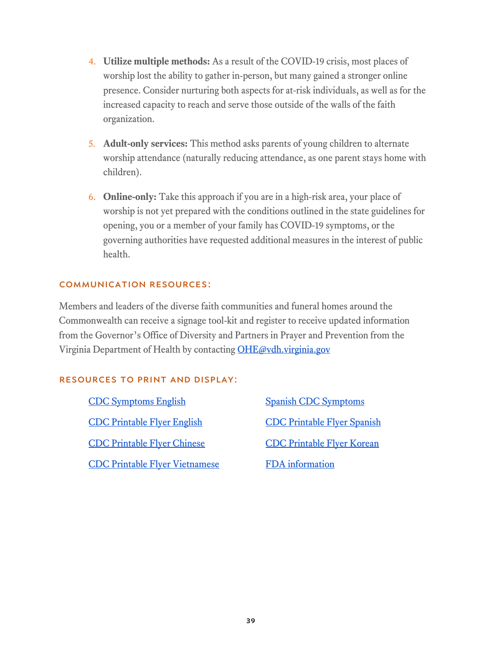- 4. **Utilize multiple methods:** As a result of the COVID-19 crisis, most places of worship lost the ability to gather in-person, but many gained a stronger online presence. Consider nurturing both aspects for at-risk individuals, as well as for the increased capacity to reach and serve those outside of the walls of the faith organization.
- 5. **Adult-only services:** This method asks parents of young children to alternate worship attendance (naturally reducing attendance, as one parent stays home with children).
- 6. **Online-only:** Take this approach if you are in a high-risk area, your place of worship is not yet prepared with the conditions outlined in the state guidelines for opening, you or a member of your family has COVID-19 symptoms, or the governing authorities have requested additional measures in the interest of public health.

### Communication Resources:

Members and leaders of the diverse faith communities and funeral homes around the Commonwealth can receive a signage tool-kit and register to receive updated information from the Governor's Office of Diversity and Partners in Prayer and Prevention from the Virginia Department of Health by contacting [OHE@vdh.virginia.gov](mailto:OHE@vdh.virginia.gov)

### Resources to print and display:

[CDC Symptoms English](https://www.cdc.gov/coronavirus/2019-ncov/symptoms-testing/symptoms.html) [Spanish CDC Symptoms](https://espanol.cdc.gov/coronavirus/2019-ncov/symptoms-testing/symptoms.html) [CDC Printable Flyer English](https://www.cdc.gov/coronavirus/2019-ncov/downloads/stop-the-spread-of-germs.pdf) [CDC Printable Flyer Spanish](https://www.cdc.gov/coronavirus/2019-ncov/downloads/stop-the-spread-of-germs-sp.pdf) [CDC Printable Flyer Chinese](https://www.cdc.gov/coronavirus/2019-ncov/downloads/stop-the-spread-of-germs-chinese.pdf) [CDC Printable Flyer Korean](https://www.cdc.gov/coronavirus/2019-ncov/downloads/stop-the-spread-of-germs-korean.pdf) [CDC Printable Flyer Vietnamese](https://www.cdc.gov/coronavirus/2019-ncov/downloads/stop-the-spread-of-germs-vietnamese.pdf) [FDA information](https://www.fda.gov/media/136812/download)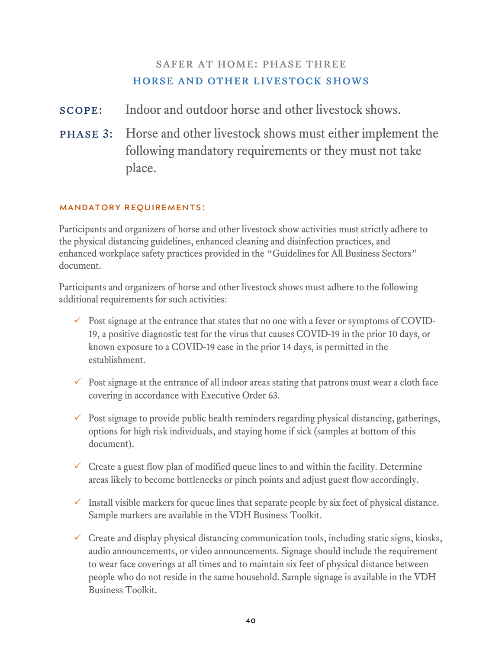## SAFER AT HOME: PHASE THREE horse and other livestock shows

scope: Indoor and outdoor horse and other livestock shows.

phase 3: Horse and other livestock shows must either implement the following mandatory requirements or they must not take place.

### Mandatory Requirements:

Participants and organizers of horse and other livestock show activities must strictly adhere to the physical distancing guidelines, enhanced cleaning and disinfection practices, and enhanced workplace safety practices provided in the "Guidelines for All Business Sectors" document.

Participants and organizers of horse and other livestock shows must adhere to the following additional requirements for such activities:

- $\checkmark$  Post signage at the entrance that states that no one with a fever or symptoms of COVID-19, a positive diagnostic test for the virus that causes COVID-19 in the prior 10 days, or known exposure to a COVID-19 case in the prior 14 days, is permitted in the establishment.
- $\checkmark$  Post signage at the entrance of all indoor areas stating that patrons must wear a cloth face covering in accordance with Executive Order 63.
- $\checkmark$  Post signage to provide public health reminders regarding physical distancing, gatherings, options for high risk individuals, and staying home if sick (samples at bottom of this document).
- $\checkmark$  Create a guest flow plan of modified queue lines to and within the facility. Determine areas likely to become bottlenecks or pinch points and adjust guest flow accordingly.
- $\checkmark$  Install visible markers for queue lines that separate people by six feet of physical distance. Sample markers are available in the VDH Business Toolkit.
- $\checkmark$  Create and display physical distancing communication tools, including static signs, kiosks, audio announcements, or video announcements. Signage should include the requirement to wear face coverings at all times and to maintain six feet of physical distance between people who do not reside in the same household. Sample signage is available in the VDH Business Toolkit.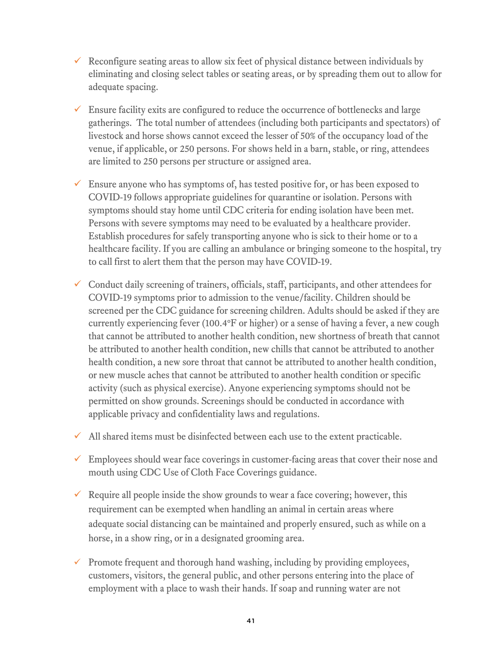- Reconfigure seating areas to allow six feet of physical distance between individuals by eliminating and closing select tables or seating areas, or by spreading them out to allow for adequate spacing.
- $\checkmark$  Ensure facility exits are configured to reduce the occurrence of bottlenecks and large gatherings. The total number of attendees (including both participants and spectators) of livestock and horse shows cannot exceed the lesser of 50% of the occupancy load of the venue, if applicable, or 250 persons. For shows held in a barn, stable, or ring, attendees are limited to 250 persons per structure or assigned area.
- $\checkmark$  Ensure anyone who has symptoms of, has tested positive for, or has been exposed to COVID-19 follows appropriate guidelines for quarantine or isolation. Persons with symptoms should stay home until CDC criteria for ending isolation have been met. Persons with severe symptoms may need to be evaluated by a healthcare provider. Establish procedures for safely transporting anyone who is sick to their home or to a healthcare facility. If you are calling an ambulance or bringing someone to the hospital, try to call first to alert them that the person may have COVID-19.
- $\checkmark$  Conduct daily screening of trainers, officials, staff, participants, and other attendees for COVID-19 symptoms prior to admission to the venue/facility. Children should be screened per the CDC guidance for screening children. Adults should be asked if they are currently experiencing fever (100.4°F or higher) or a sense of having a fever, a new cough that cannot be attributed to another health condition, new shortness of breath that cannot be attributed to another health condition, new chills that cannot be attributed to another health condition, a new sore throat that cannot be attributed to another health condition, or new muscle aches that cannot be attributed to another health condition or specific activity (such as physical exercise). Anyone experiencing symptoms should not be permitted on show grounds. Screenings should be conducted in accordance with applicable privacy and confidentiality laws and regulations.
- $\checkmark$  All shared items must be disinfected between each use to the extent practicable.
- $\checkmark$  Employees should wear face coverings in customer-facing areas that cover their nose and mouth using CDC Use of Cloth Face Coverings guidance.
- Require all people inside the show grounds to wear a face covering; however, this requirement can be exempted when handling an animal in certain areas where adequate social distancing can be maintained and properly ensured, such as while on a horse, in a show ring, or in a designated grooming area.
- $\checkmark$  Promote frequent and thorough hand washing, including by providing employees, customers, visitors, the general public, and other persons entering into the place of employment with a place to wash their hands. If soap and running water are not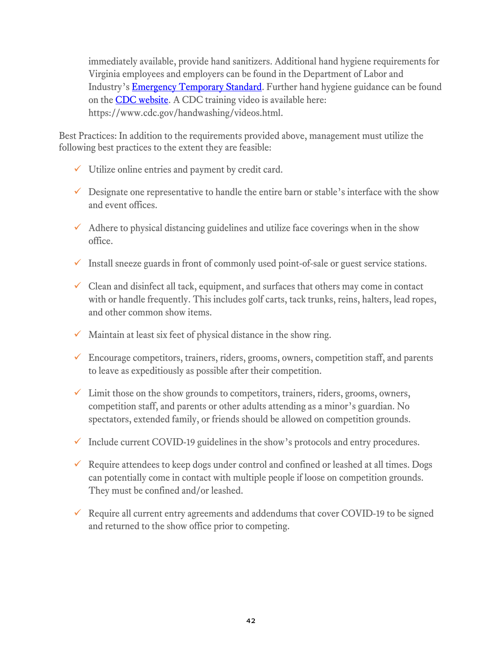immediately available, provide hand sanitizers. Additional hand hygiene requirements for Virginia employees and employers can be found in the Department of Labor and Industry's **Emergency Temporary Standard**. Further hand hygiene guidance can be found on the **CDC** website. A CDC training video is available here: https://www.cdc.gov/handwashing/videos.html.

Best Practices: In addition to the requirements provided above, management must utilize the following best practices to the extent they are feasible:

- $\checkmark$  Utilize online entries and payment by credit card.
- $\checkmark$  Designate one representative to handle the entire barn or stable's interface with the show and event offices.
- $\checkmark$  Adhere to physical distancing guidelines and utilize face coverings when in the show office.
- $\checkmark$  Install sneeze guards in front of commonly used point-of-sale or guest service stations.
- $\checkmark$  Clean and disinfect all tack, equipment, and surfaces that others may come in contact with or handle frequently. This includes golf carts, tack trunks, reins, halters, lead ropes, and other common show items.
- $\checkmark$  Maintain at least six feet of physical distance in the show ring.
- $\checkmark$  Encourage competitors, trainers, riders, grooms, owners, competition staff, and parents to leave as expeditiously as possible after their competition.
- $\checkmark$  Limit those on the show grounds to competitors, trainers, riders, grooms, owners, competition staff, and parents or other adults attending as a minor's guardian. No spectators, extended family, or friends should be allowed on competition grounds.
- $\checkmark$  Include current COVID-19 guidelines in the show's protocols and entry procedures.
- $\checkmark$  Require attendees to keep dogs under control and confined or leashed at all times. Dogs can potentially come in contact with multiple people if loose on competition grounds. They must be confined and/or leashed.
- $\checkmark$  Require all current entry agreements and addendums that cover COVID-19 to be signed and returned to the show office prior to competing.